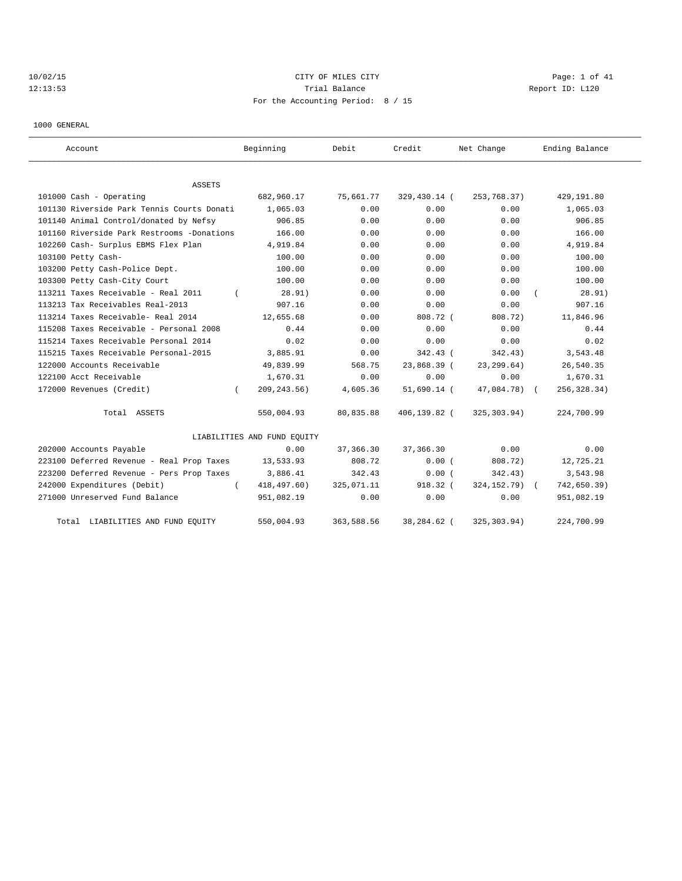# 10/02/15 CITY OF MILES CITY CHARGES CITY CITY CONTROLLER Page: 1 of 41 12:13:53 Trial Balance Trial Balance Report ID: L120 For the Accounting Period: 8 / 15

1000 GENERAL

| Account                                    | Beginning                   | Debit      | Credit       | Net Change      | Ending Balance |
|--------------------------------------------|-----------------------------|------------|--------------|-----------------|----------------|
| ASSETS                                     |                             |            |              |                 |                |
| 101000 Cash - Operating                    | 682,960.17                  | 75,661.77  | 329,430.14 ( | 253,768.37)     | 429,191.80     |
| 101130 Riverside Park Tennis Courts Donati | 1,065.03                    | 0.00       | 0.00         | 0.00            | 1,065.03       |
| 101140 Animal Control/donated by Nefsy     | 906.85                      | 0.00       | 0.00         | 0.00            | 906.85         |
| 101160 Riverside Park Restrooms -Donations | 166.00                      | 0.00       | 0.00         | 0.00            | 166.00         |
| 102260 Cash- Surplus EBMS Flex Plan        | 4,919.84                    | 0.00       | 0.00         | 0.00            | 4,919.84       |
| 103100 Petty Cash-                         | 100.00                      | 0.00       | 0.00         | 0.00            | 100.00         |
| 103200 Petty Cash-Police Dept.             | 100.00                      | 0.00       | 0.00         | 0.00            | 100.00         |
| 103300 Petty Cash-City Court               | 100.00                      | 0.00       | 0.00         | 0.00            | 100.00         |
| 113211 Taxes Receivable - Real 2011        | 28.91)                      | 0.00       | 0.00         | 0.00            | 28.91)         |
| 113213 Tax Receivables Real-2013           | 907.16                      | 0.00       | 0.00         | 0.00            | 907.16         |
| 113214 Taxes Receivable- Real 2014         | 12,655.68                   | 0.00       | 808.72 (     | 808.72)         | 11,846.96      |
| 115208 Taxes Receivable - Personal 2008    | 0.44                        | 0.00       | 0.00         | 0.00            | 0.44           |
| 115214 Taxes Receivable Personal 2014      | 0.02                        | 0.00       | 0.00         | 0.00            | 0.02           |
| 115215 Taxes Receivable Personal-2015      | 3,885.91                    | 0.00       | 342.43 (     | 342.43)         | 3,543.48       |
| 122000 Accounts Receivable                 | 49,839.99                   | 568.75     | 23,868.39 (  | 23, 299.64)     | 26,540.35      |
| 122100 Acct Receivable                     | 1,670.31                    | 0.00       | 0.00         | 0.00            | 1,670.31       |
| 172000 Revenues (Credit)<br>$\left($       | 209, 243.56)                | 4,605.36   | 51,690.14 (  | 47,084.78) (    | 256, 328.34)   |
| Total ASSETS                               | 550,004.93                  | 80,835.88  | 406,139.82 ( | 325, 303.94)    | 224,700.99     |
|                                            | LIABILITIES AND FUND EQUITY |            |              |                 |                |
| 202000 Accounts Payable                    | 0.00                        | 37,366.30  | 37, 366.30   | 0.00            | 0.00           |
| 223100 Deferred Revenue - Real Prop Taxes  | 13,533.93                   | 808.72     | 0.00(        | 808.72)         | 12,725.21      |
| 223200 Deferred Revenue - Pers Prop Taxes  | 3,886.41                    | 342.43     | 0.00(        | 342.43)         | 3,543.98       |
| 242000 Expenditures (Debit)                | 418, 497.60)                | 325,071.11 | $918.32$ (   | 324, 152. 79) ( | 742,650.39)    |
| 271000 Unreserved Fund Balance             | 951,082.19                  | 0.00       | 0.00         | 0.00            | 951,082.19     |
| LIABILITIES AND FUND EQUITY<br>Total       | 550,004.93                  | 363,588.56 | 38,284.62 (  | 325, 303.94)    | 224,700.99     |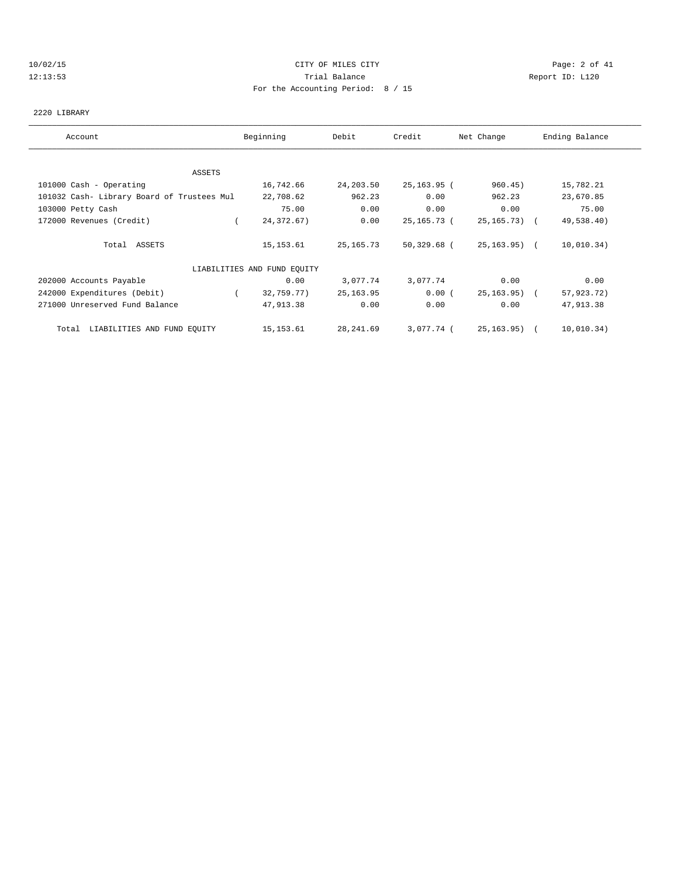## 10/02/15 CITY OF MILES CITY Page: 2 of 41 12:13:53 Trial Balance Report ID: L120 For the Accounting Period: 8 / 15

#### 2220 LIBRARY

| Account                                    | Beginning                   | Debit      | Credit        | Net Change     | Ending Balance |
|--------------------------------------------|-----------------------------|------------|---------------|----------------|----------------|
|                                            |                             |            |               |                |                |
| ASSETS                                     |                             |            |               |                |                |
| 101000 Cash - Operating                    | 16,742.66                   | 24, 203.50 | 25, 163. 95 ( | 960.45)        | 15,782.21      |
| 101032 Cash- Library Board of Trustees Mul | 22,708.62                   | 962.23     | 0.00          | 962.23         | 23,670.85      |
| 103000 Petty Cash                          | 75.00                       | 0.00       | 0.00          | 0.00           | 75.00          |
| 172000 Revenues (Credit)                   | 24, 372.67)                 | 0.00       | 25,165.73 (   | 25, 165, 73) ( | 49,538.40)     |
| Total ASSETS                               | 15,153.61                   | 25,165.73  | 50,329.68 (   | 25,163.95) (   | 10,010.34)     |
|                                            | LIABILITIES AND FUND EQUITY |            |               |                |                |
| 202000 Accounts Payable                    | 0.00                        | 3,077.74   | 3,077.74      | 0.00           | 0.00           |
| 242000 Expenditures (Debit)                | 32,759.77)<br>$\sqrt{2}$    | 25, 163.95 | 0.00(         | 25,163.95) (   | 57,923.72)     |
| 271000 Unreserved Fund Balance             | 47,913.38                   | 0.00       | 0.00          | 0.00           | 47,913.38      |
| LIABILITIES AND FUND EQUITY<br>Total       | 15,153.61                   | 28,241.69  | 3,077.74 (    | 25,163.95) (   | 10,010.34)     |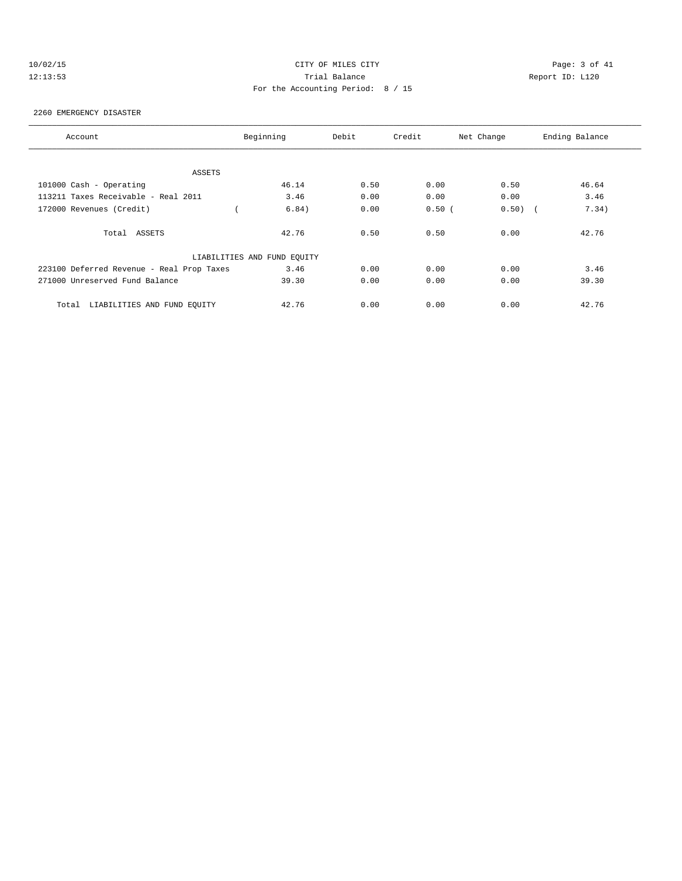# 10/02/15 CITY OF MILES CITY Page: 3 of 41 12:13:53 Trial Balance Report ID: L120 For the Accounting Period: 8 / 15

#### 2260 EMERGENCY DISASTER

| Account                                   | Beginning                   | Debit | Credit | Net Change | Ending Balance |
|-------------------------------------------|-----------------------------|-------|--------|------------|----------------|
|                                           |                             |       |        |            |                |
| ASSETS                                    |                             |       |        |            |                |
| 101000 Cash - Operating                   | 46.14                       | 0.50  | 0.00   | 0.50       | 46.64          |
| 113211 Taxes Receivable - Real 2011       | 3.46                        | 0.00  | 0.00   | 0.00       | 3.46           |
| 172000 Revenues (Credit)                  | 6.84)                       | 0.00  | 0.50(  | $0.50)$ (  | 7.34)          |
| Total ASSETS                              | 42.76                       | 0.50  | 0.50   | 0.00       | 42.76          |
|                                           | LIABILITIES AND FUND EQUITY |       |        |            |                |
| 223100 Deferred Revenue - Real Prop Taxes | 3.46                        | 0.00  | 0.00   | 0.00       | 3.46           |
| 271000 Unreserved Fund Balance            | 39.30                       | 0.00  | 0.00   | 0.00       | 39.30          |
| LIABILITIES AND FUND EQUITY<br>Total      | 42.76                       | 0.00  | 0.00   | 0.00       | 42.76          |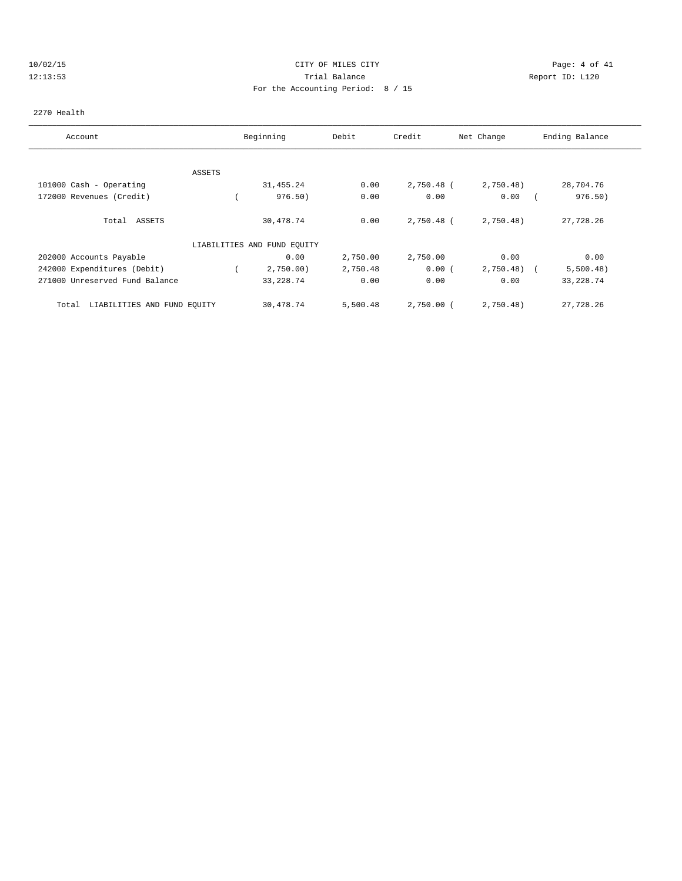# 10/02/15 CITY OF MILES CITY Page: 4 of 41 12:13:53 Trial Balance Report ID: L120 For the Accounting Period: 8 / 15

### 2270 Health

| Account                              |        | Beginning                   | Debit    | Credit     | Net Change | Ending Balance          |
|--------------------------------------|--------|-----------------------------|----------|------------|------------|-------------------------|
|                                      |        |                             |          |            |            |                         |
|                                      | ASSETS |                             |          |            |            |                         |
| 101000 Cash - Operating              |        | 31, 455. 24                 | 0.00     | 2,750.48 ( | 2,750.48)  | 28,704.76               |
| 172000 Revenues (Credit)             |        | 976.50)                     | 0.00     | 0.00       | 0.00       | 976.50)                 |
| Total ASSETS                         |        | 30,478.74                   | 0.00     | 2,750.48 ( | 2,750.48)  | 27,728.26               |
|                                      |        | LIABILITIES AND FUND EQUITY |          |            |            |                         |
| 202000 Accounts Payable              |        | 0.00                        | 2,750.00 | 2,750.00   | 0.00       | 0.00                    |
| 242000 Expenditures (Debit)          |        | 2,750.00                    | 2,750.48 | 0.00(      | 2,750.48)  | 5,500.48)<br>$\sqrt{2}$ |
| 271000 Unreserved Fund Balance       |        | 33, 228.74                  | 0.00     | 0.00       | 0.00       | 33, 228.74              |
| LIABILITIES AND FUND EQUITY<br>Total |        | 30,478.74                   | 5,500.48 | 2,750.00 ( | 2,750.48)  | 27,728.26               |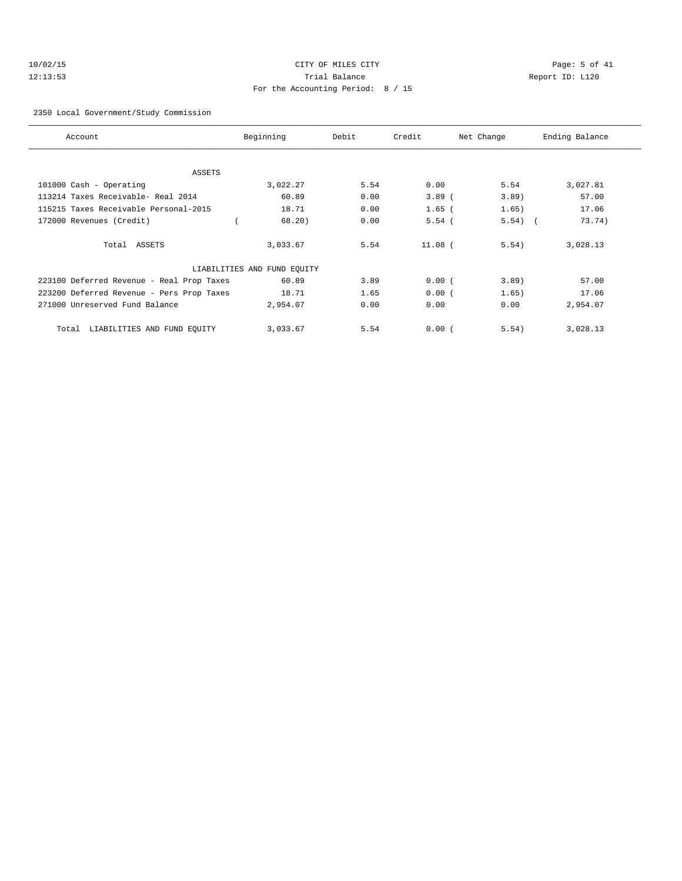# 10/02/15 CITY OF MILES CITY Page: 5 of 41 12:13:53 Trial Balance Report ID: L120 For the Accounting Period: 8 / 15

#### 2350 Local Government/Study Commission

| Account                                   | Beginning                   | Debit | Credit    | Net Change | Ending Balance |
|-------------------------------------------|-----------------------------|-------|-----------|------------|----------------|
|                                           |                             |       |           |            |                |
| ASSETS                                    |                             |       |           |            |                |
| 101000 Cash - Operating                   | 3,022.27                    | 5.54  | 0.00      | 5.54       | 3,027.81       |
| 113214 Taxes Receivable- Real 2014        | 60.89                       | 0.00  | $3.89$ (  | $3.89$ )   | 57.00          |
| 115215 Taxes Receivable Personal-2015     | 18.71                       | 0.00  | $1.65$ (  | 1.65)      | 17.06          |
| 172000 Revenues (Credit)                  | 68.20                       | 0.00  | 5.54(     | $5.54)$ (  | 73.74)         |
| Total ASSETS                              | 3,033.67                    | 5.54  | $11.08$ ( | 5.54)      | 3,028.13       |
|                                           | LIABILITIES AND FUND EQUITY |       |           |            |                |
| 223100 Deferred Revenue - Real Prop Taxes | 60.89                       | 3.89  | 0.00(     | $3.89$ )   | 57.00          |
| 223200 Deferred Revenue - Pers Prop Taxes | 18.71                       | 1.65  | 0.00(     | 1.65)      | 17.06          |
| 271000 Unreserved Fund Balance            | 2,954.07                    | 0.00  | 0.00      | 0.00       | 2,954.07       |
| LIABILITIES AND FUND EQUITY<br>Total      | 3,033.67                    | 5.54  | 0.00(     | 5.54)      | 3,028.13       |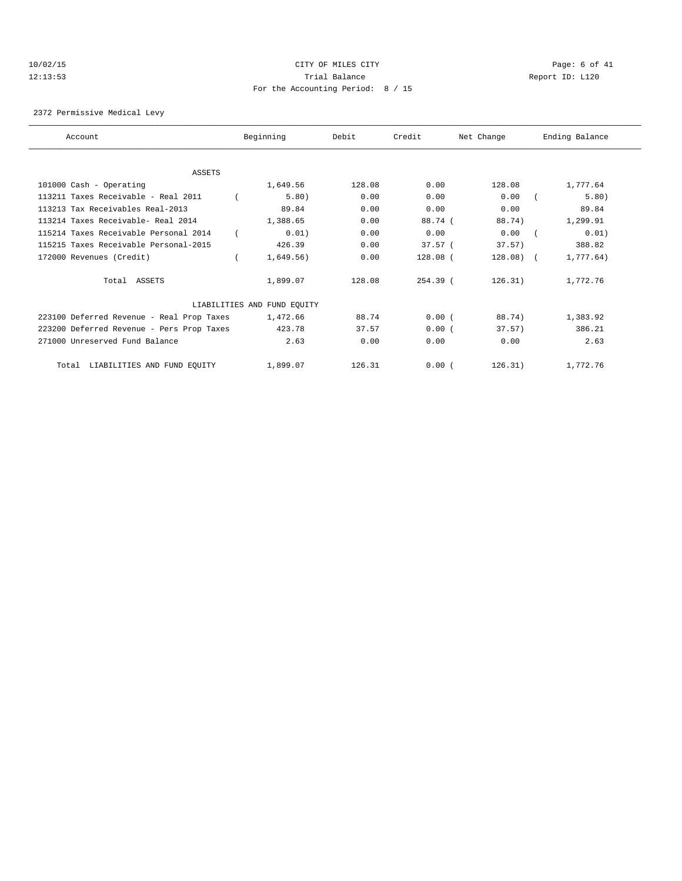# 10/02/15 CITY OF MILES CITY Page: 6 of 41 12:13:53 Trial Balance Report ID: L120 For the Accounting Period: 8 / 15

2372 Permissive Medical Levy

| Account                                   | Beginning                   | Debit  | Credit     | Net Change | Ending Balance |  |
|-------------------------------------------|-----------------------------|--------|------------|------------|----------------|--|
|                                           |                             |        |            |            |                |  |
| <b>ASSETS</b>                             |                             |        |            |            |                |  |
| 101000 Cash - Operating                   | 1,649.56                    | 128.08 | 0.00       | 128.08     | 1,777.64       |  |
| 113211 Taxes Receivable - Real 2011       | 5.80)                       | 0.00   | 0.00       | 0.00       | 5.80)          |  |
| 113213 Tax Receivables Real-2013          | 89.84                       | 0.00   | 0.00       | 0.00       | 89.84          |  |
| 113214 Taxes Receivable- Real 2014        | 1,388.65                    | 0.00   | 88.74 (    | 88.74)     | 1,299.91       |  |
| 115214 Taxes Receivable Personal 2014     | 0.01)                       | 0.00   | 0.00       | 0.00       | 0.01)          |  |
| 115215 Taxes Receivable Personal-2015     | 426.39                      | 0.00   | 37.57(     | 37.57      | 388.82         |  |
| 172000 Revenues (Credit)                  | 1,649.56)                   | 0.00   | 128.08 (   | $128.08$ ( | 1,777.64)      |  |
| Total ASSETS                              | 1,899.07                    | 128.08 | $254.39$ ( | 126.31)    | 1,772.76       |  |
|                                           | LIABILITIES AND FUND EQUITY |        |            |            |                |  |
| 223100 Deferred Revenue - Real Prop Taxes | 1,472.66                    | 88.74  | 0.00(      | 88.74)     | 1,383.92       |  |
| 223200 Deferred Revenue - Pers Prop Taxes | 423.78                      | 37.57  | 0.00(      | 37.57)     | 386.21         |  |
| 271000 Unreserved Fund Balance            | 2.63                        | 0.00   | 0.00       | 0.00       | 2.63           |  |
| Total LIABILITIES AND FUND EQUITY         | 1,899.07                    | 126.31 | 0.00(      | 126.31)    | 1,772.76       |  |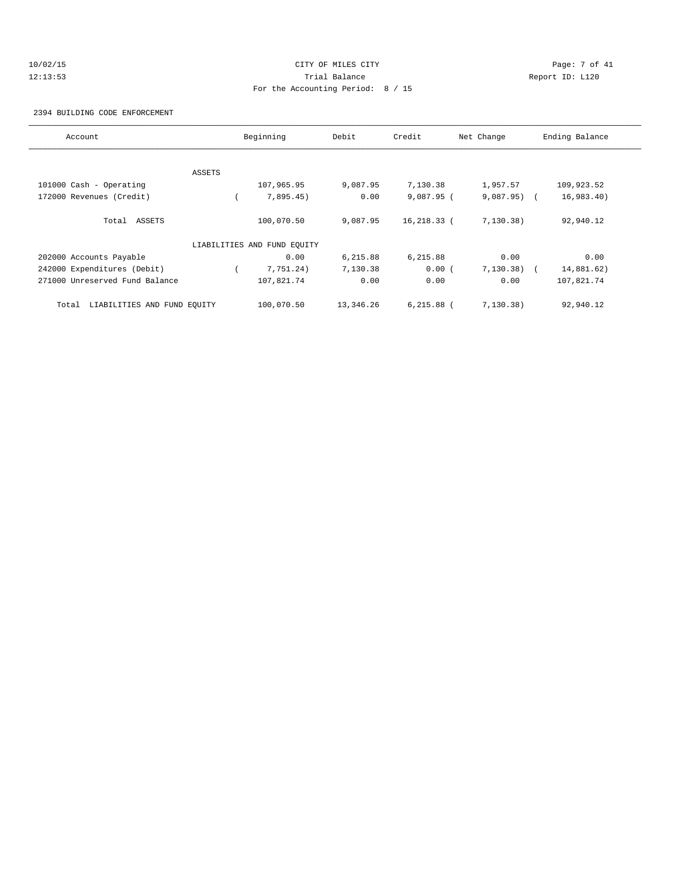# 10/02/15 CITY OF MILES CITY Page: 7 of 41 12:13:53 Trial Balance Report ID: L120 For the Accounting Period: 8 / 15

2394 BUILDING CODE ENFORCEMENT

| Account                              |        | Beginning                   | Debit     | Credit       | Net Change   | Ending Balance |
|--------------------------------------|--------|-----------------------------|-----------|--------------|--------------|----------------|
|                                      |        |                             |           |              |              |                |
|                                      | ASSETS |                             |           |              |              |                |
| 101000 Cash - Operating              |        | 107,965.95                  | 9,087.95  | 7,130.38     | 1,957.57     | 109,923.52     |
| 172000 Revenues (Credit)             |        | 7,895.45)                   | 0.00      | $9,087.95$ ( | $9,087.95$ ( | 16,983.40)     |
| Total ASSETS                         |        | 100,070.50                  | 9,087.95  | 16,218.33 (  | 7, 130.38)   | 92,940.12      |
|                                      |        | LIABILITIES AND FUND EQUITY |           |              |              |                |
| 202000 Accounts Payable              |        | 0.00                        | 6,215.88  | 6,215.88     | 0.00         | 0.00           |
| 242000 Expenditures (Debit)          |        | 7,751.24)                   | 7,130.38  | 0.00(        | 7, 130.38)   | 14,881.62)     |
| 271000 Unreserved Fund Balance       |        | 107,821.74                  | 0.00      | 0.00         | 0.00         | 107,821.74     |
| LIABILITIES AND FUND EQUITY<br>Total |        | 100,070.50                  | 13,346.26 | $6,215.88$ ( | 7, 130.38)   | 92,940.12      |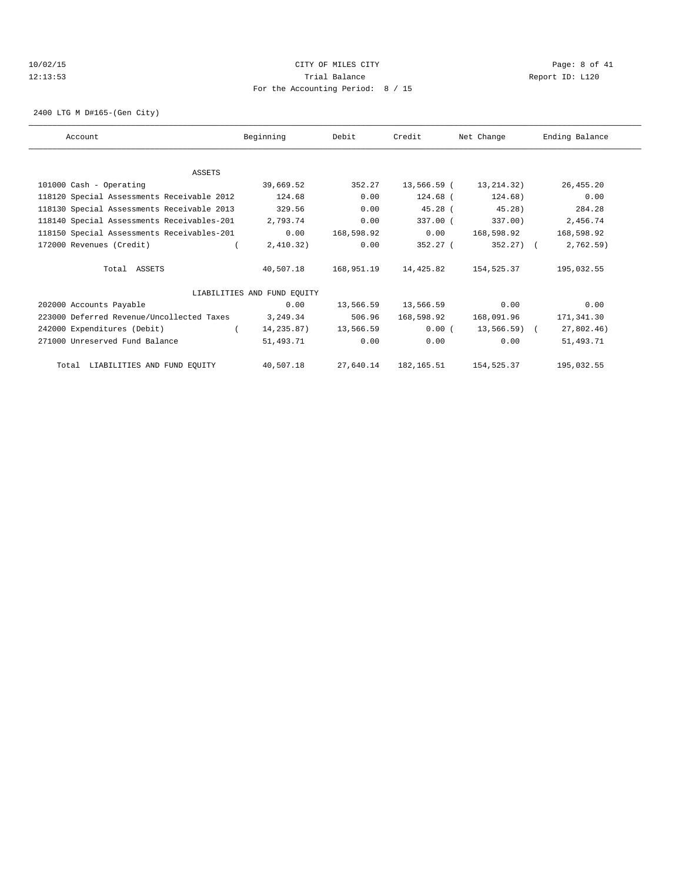## 10/02/15 CITY OF MILES CITY Page: 8 of 41 12:13:53 Trial Balance Report ID: L120 For the Accounting Period: 8 / 15

2400 LTG M D#165-(Gen City)

| Account                                    | Beginning                   | Debit      | Credit               | Net Change            | Ending Balance |
|--------------------------------------------|-----------------------------|------------|----------------------|-----------------------|----------------|
|                                            |                             |            |                      |                       |                |
| ASSETS                                     |                             |            |                      |                       |                |
| 101000 Cash - Operating                    | 39,669.52                   | 352.27     |                      | 13,566.59 (13,214.32) | 26, 455.20     |
| 118120 Special Assessments Receivable 2012 | 124.68                      | 0.00       | 124.68 (             | 124.68)               | 0.00           |
| 118130 Special Assessments Receivable 2013 | 329.56                      | 0.00       | $45.28$ (            | $45.28$ )             | 284.28         |
| 118140 Special Assessments Receivables-201 | 2,793.74                    | 0.00       | 337.00 (             | 337.00)               | 2,456.74       |
| 118150 Special Assessments Receivables-201 | 0.00                        | 168,598.92 | 0.00                 | 168,598.92            | 168,598.92     |
| 172000 Revenues (Credit)                   | 2,410.32)                   | 0.00       | 352.27 (             | $352.27$ ) (          | 2,762.59)      |
| Total ASSETS                               | 40,507.18                   | 168,951.19 | 14,425.82            | 154,525.37            | 195,032.55     |
|                                            | LIABILITIES AND FUND EQUITY |            |                      |                       |                |
| 202000 Accounts Payable                    | 0.00                        | 13,566.59  | 13,566.59            | 0.00                  | 0.00           |
| 223000 Deferred Revenue/Uncollected Taxes  | 3,249.34                    | 506.96     | 168,598.92           | 168,091.96            | 171,341.30     |
| 242000 Expenditures (Debit)                | 14,235.87)                  | 13,566.59  | 0.00(                | 13,566.59) (          | 27,802.46)     |
| 271000 Unreserved Fund Balance             | 51,493.71                   | 0.00       | 0.00                 | 0.00                  | 51,493.71      |
| Total LIABILITIES AND FUND EQUITY          | 40,507.18                   |            | 27,640.14 182,165.51 | 154,525.37            | 195,032.55     |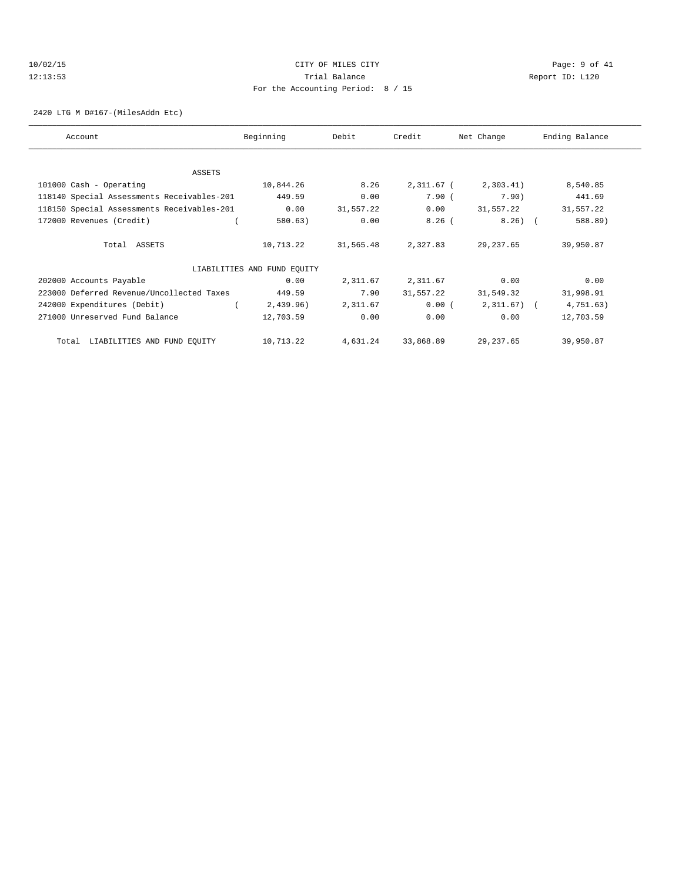# 10/02/15 CITY OF MILES CITY Page: 9 of 41 12:13:53 Trial Balance Report ID: L120 For the Accounting Period: 8 / 15

2420 LTG M D#167-(MilesAddn Etc)

| Account                                    | Beginning                   | Debit     | Credit     | Net Change     | Ending Balance |
|--------------------------------------------|-----------------------------|-----------|------------|----------------|----------------|
|                                            |                             |           |            |                |                |
| ASSETS                                     |                             |           |            |                |                |
| 101000 Cash - Operating                    | 10,844.26                   | 8.26      | 2,311.67 ( | 2,303.41)      | 8,540.85       |
| 118140 Special Assessments Receivables-201 | 449.59                      | 0.00      | 7.90(      | 7.90)          | 441.69         |
| 118150 Special Assessments Receivables-201 | 0.00                        | 31,557.22 | 0.00       | 31,557.22      | 31,557.22      |
| 172000 Revenues (Credit)                   | 580.63)                     | 0.00      | $8.26$ (   | $8.26)$ (      | 588.89)        |
|                                            |                             |           |            |                |                |
| Total ASSETS                               | 10,713.22                   | 31,565.48 | 2,327.83   | 29,237.65      | 39,950.87      |
|                                            |                             |           |            |                |                |
|                                            | LIABILITIES AND FUND EQUITY |           |            |                |                |
| 202000 Accounts Payable                    | 0.00                        | 2,311.67  | 2,311.67   | 0.00           | 0.00           |
| 223000 Deferred Revenue/Uncollected Taxes  | 449.59                      | 7.90      | 31,557.22  | 31,549.32      | 31,998.91      |
| 242000 Expenditures (Debit)                | 2,439.96)                   | 2,311.67  | 0.00(      | $2,311.67$ ) ( | 4,751.63)      |
| 271000 Unreserved Fund Balance             | 12,703.59                   | 0.00      | 0.00       | 0.00           | 12,703.59      |
|                                            |                             |           |            |                |                |
| LIABILITIES AND FUND EQUITY<br>Total       | 10,713.22                   | 4,631.24  | 33,868.89  | 29, 237.65     | 39,950.87      |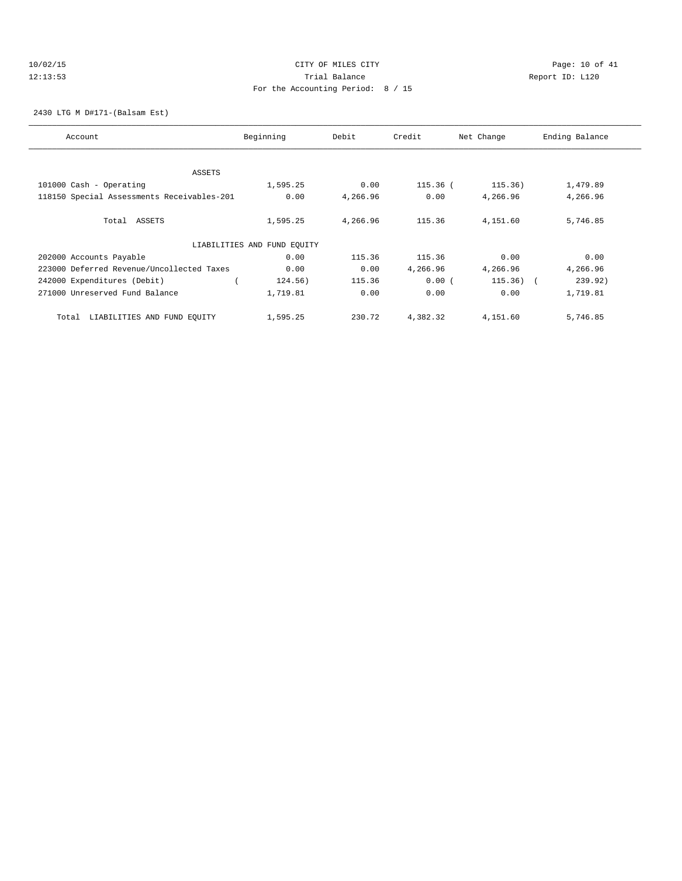## 10/02/15 **CITY OF MILES CITY CITY CITY Page: 10 of 41** 12:13:53 Trial Balance Report ID: L120 For the Accounting Period: 8 / 15

2430 LTG M D#171-(Balsam Est)

| Account                                    | Beginning                   | Debit    | Credit     | Net Change | Ending Balance |
|--------------------------------------------|-----------------------------|----------|------------|------------|----------------|
|                                            |                             |          |            |            |                |
| ASSETS                                     |                             |          |            |            |                |
| 101000 Cash - Operating                    | 1,595.25                    | 0.00     | $115.36$ ( | 115.36)    | 1,479.89       |
| 118150 Special Assessments Receivables-201 | 0.00                        | 4,266.96 | 0.00       | 4,266.96   | 4,266.96       |
|                                            |                             |          |            |            |                |
| Total ASSETS                               | 1,595.25                    | 4,266.96 | 115.36     | 4,151.60   | 5,746.85       |
|                                            | LIABILITIES AND FUND EQUITY |          |            |            |                |
| 202000 Accounts Payable                    | 0.00                        | 115.36   | 115.36     | 0.00       | 0.00           |
| 223000 Deferred Revenue/Uncollected Taxes  | 0.00                        | 0.00     | 4,266.96   | 4,266.96   | 4,266.96       |
| 242000 Expenditures (Debit)                | 124.56)                     | 115.36   | 0.00(      | $115.36$ ( | 239.92)        |
| 271000 Unreserved Fund Balance             | 1,719.81                    | 0.00     | 0.00       | 0.00       | 1,719.81       |
|                                            |                             |          |            |            |                |
| LIABILITIES AND FUND EQUITY<br>Total       | 1,595.25                    | 230.72   | 4,382.32   | 4,151.60   | 5,746.85       |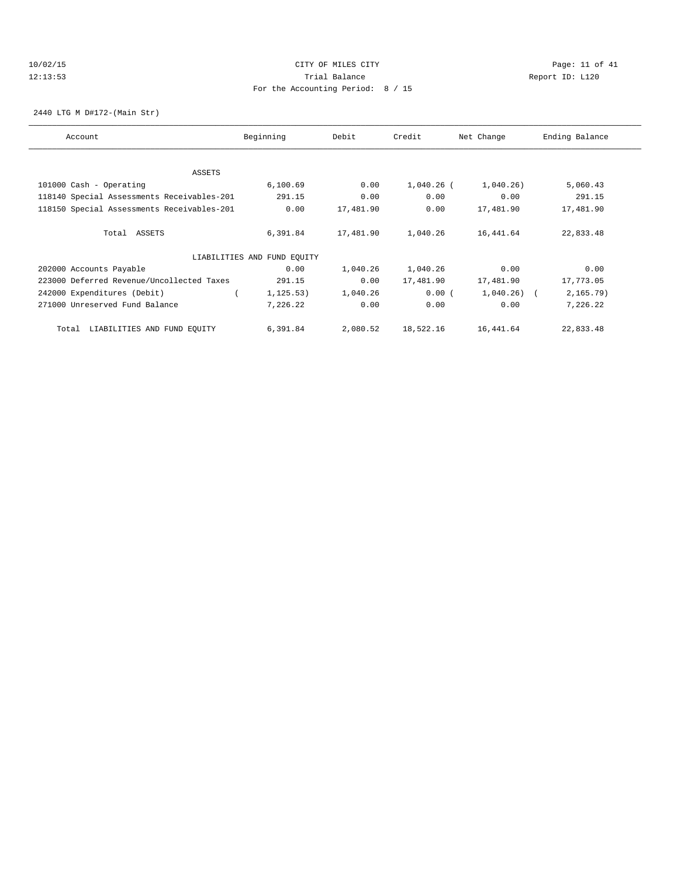## 10/02/15 **CITY OF MILES CITY CITY CITY Page: 11 of 41** 12:13:53 Trial Balance Report ID: L120 For the Accounting Period: 8 / 15

2440 LTG M D#172-(Main Str)

| Account                                    | Beginning                   | Debit     | Credit       | Net Change   | Ending Balance |
|--------------------------------------------|-----------------------------|-----------|--------------|--------------|----------------|
|                                            |                             |           |              |              |                |
| ASSETS                                     |                             |           |              |              |                |
| 101000 Cash - Operating                    | 6,100.69                    | 0.00      | $1,040.26$ ( | 1,040.26)    | 5,060.43       |
| 118140 Special Assessments Receivables-201 | 291.15                      | 0.00      | 0.00         | 0.00         | 291.15         |
| 118150 Special Assessments Receivables-201 | 0.00                        | 17,481.90 | 0.00         | 17,481.90    | 17,481.90      |
| Total ASSETS                               | 6,391.84                    | 17,481.90 | 1,040.26     | 16,441.64    | 22,833.48      |
|                                            | LIABILITIES AND FUND EQUITY |           |              |              |                |
| 202000 Accounts Payable                    | 0.00                        | 1,040.26  | 1,040.26     | 0.00         | 0.00           |
| 223000 Deferred Revenue/Uncollected Taxes  | 291.15                      | 0.00      | 17,481.90    | 17,481.90    | 17,773.05      |
| 242000 Expenditures (Debit)                | 1, 125.53)                  | 1,040.26  | 0.00(        | $1,040.26$ ( | 2, 165.79)     |
| 271000 Unreserved Fund Balance             | 7,226.22                    | 0.00      | 0.00         | 0.00         | 7,226.22       |
| LIABILITIES AND FUND EQUITY<br>Total       | 6,391.84                    | 2,080.52  | 18,522.16    | 16,441.64    | 22,833.48      |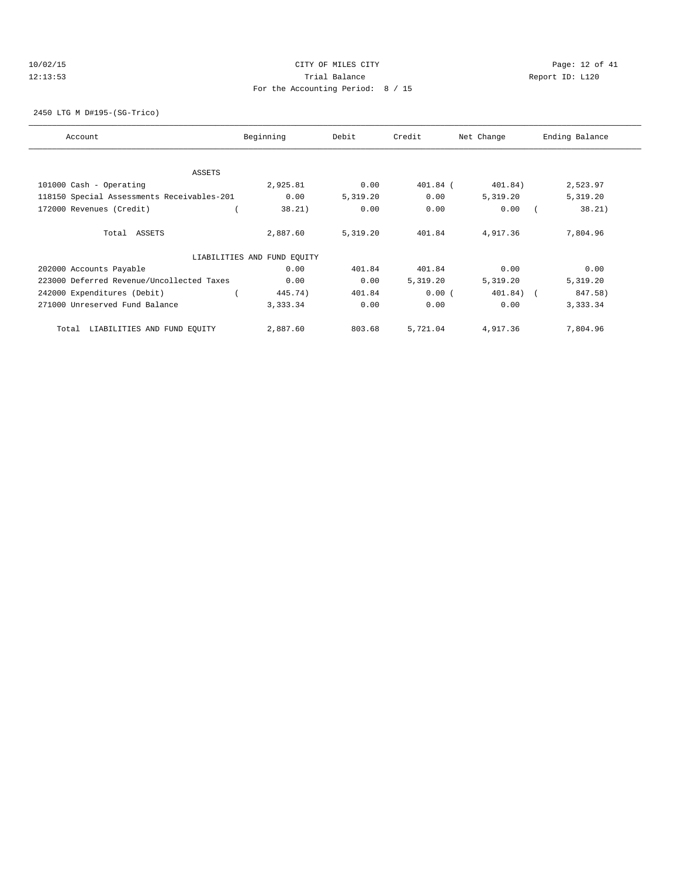## 10/02/15 **Page: 12 of 41** CITY OF MILES CITY **CITY** CITY **Page: 12 of 41** 12:13:53 Trial Balance Report ID: L120 For the Accounting Period: 8 / 15

2450 LTG M D#195-(SG-Trico)

| Account                                    | Beginning                   | Debit    | Credit     | Net Change  | Ending Balance |
|--------------------------------------------|-----------------------------|----------|------------|-------------|----------------|
| <b>ASSETS</b>                              |                             |          |            |             |                |
|                                            |                             |          |            |             |                |
| 101000 Cash - Operating                    | 2,925.81                    | 0.00     | $401.84$ ( | 401.84)     | 2,523.97       |
| 118150 Special Assessments Receivables-201 | 0.00                        | 5,319.20 | 0.00       | 5,319.20    | 5,319.20       |
| 172000 Revenues (Credit)                   | 38.21)                      | 0.00     | 0.00       | 0.00        | 38.21)         |
| Total ASSETS                               | 2,887.60                    | 5,319.20 | 401.84     | 4,917.36    | 7,804.96       |
|                                            | LIABILITIES AND FUND EQUITY |          |            |             |                |
| 202000 Accounts Payable                    | 0.00                        | 401.84   | 401.84     | 0.00        | 0.00           |
| 223000 Deferred Revenue/Uncollected Taxes  | 0.00                        | 0.00     | 5,319.20   | 5,319.20    | 5,319.20       |
| 242000 Expenditures (Debit)                | 445.74)                     | 401.84   | 0.00(      | $401.84)$ ( | 847.58)        |
| 271000 Unreserved Fund Balance             | 3,333.34                    | 0.00     | 0.00       | 0.00        | 3,333.34       |
| LIABILITIES AND FUND EQUITY<br>Total       | 2,887.60                    | 803.68   | 5,721.04   | 4,917.36    | 7,804.96       |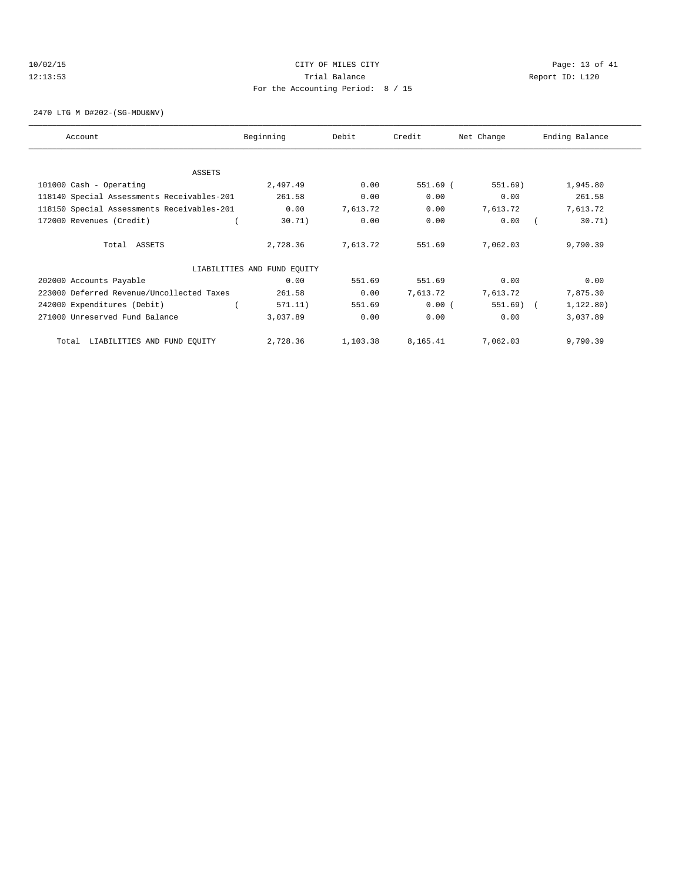# 10/02/15 **Page: 13 of 41** CITY OF MILES CITY **CITY** CITY **Page: 13 of 41** 12:13:53 Trial Balance Report ID: L120 For the Accounting Period: 8 / 15

2470 LTG M D#202-(SG-MDU&NV)

| Account                                    | Beginning                   | Debit    | Credit   | Net Change | Ending Balance |
|--------------------------------------------|-----------------------------|----------|----------|------------|----------------|
|                                            |                             |          |          |            |                |
| ASSETS                                     |                             |          |          |            |                |
| 101000 Cash - Operating                    | 2,497.49                    | 0.00     | 551.69 ( | 551.69)    | 1,945.80       |
| 118140 Special Assessments Receivables-201 | 261.58                      | 0.00     | 0.00     | 0.00       | 261.58         |
| 118150 Special Assessments Receivables-201 | 0.00                        | 7,613.72 | 0.00     | 7,613.72   | 7,613.72       |
| 172000 Revenues (Credit)                   | 30.71)                      | 0.00     | 0.00     | 0.00       | 30.71)         |
| Total ASSETS                               | 2,728.36                    | 7,613.72 | 551.69   | 7,062.03   | 9,790.39       |
|                                            | LIABILITIES AND FUND EQUITY |          |          |            |                |
| 202000 Accounts Payable                    | 0.00                        | 551.69   | 551.69   | 0.00       | 0.00           |
| 223000 Deferred Revenue/Uncollected Taxes  | 261.58                      | 0.00     | 7,613.72 | 7,613.72   | 7,875.30       |
| 242000 Expenditures (Debit)                | 571.11)                     | 551.69   | 0.00(    | 551.69)    | 1, 122.80)     |
| 271000 Unreserved Fund Balance             | 3,037.89                    | 0.00     | 0.00     | 0.00       | 3,037.89       |
| LIABILITIES AND FUND EQUITY<br>Total       | 2,728.36                    | 1,103.38 | 8,165.41 | 7,062.03   | 9,790.39       |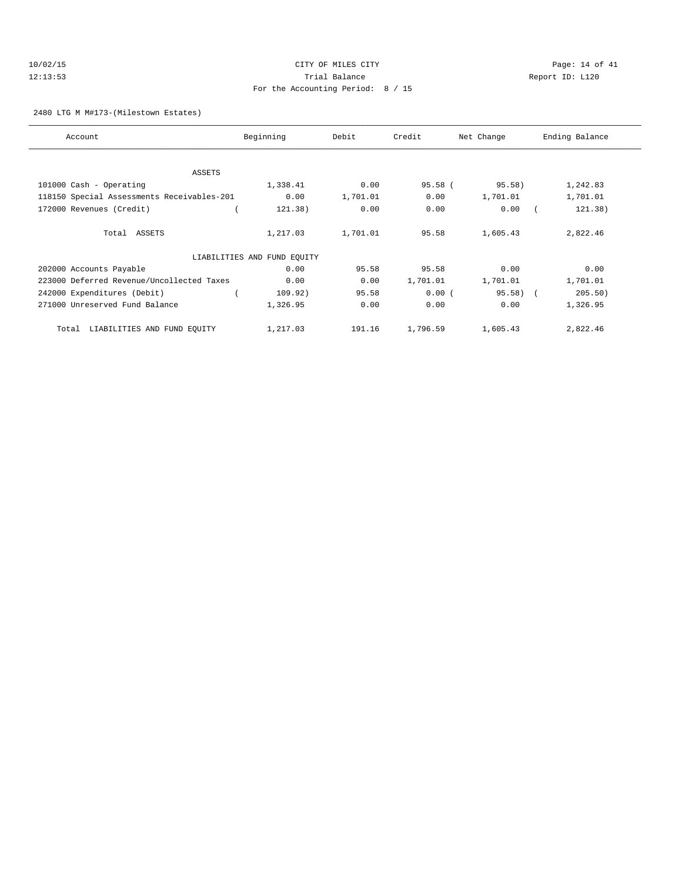| 10/02/15 | CITY OF MILES CITY                |    |
|----------|-----------------------------------|----|
| 12:13:53 | Trial Balance                     | Re |
|          | For the Accounting Period: 8 / 15 |    |

Page: 14 of 41 leport ID: L120

### 2480 LTG M M#173-(Milestown Estates)

| Account                                    | Beginning                   | Debit    | Credit    | Net Change | Ending Balance |
|--------------------------------------------|-----------------------------|----------|-----------|------------|----------------|
|                                            |                             |          |           |            |                |
| <b>ASSETS</b>                              |                             |          |           |            |                |
| 101000 Cash - Operating                    | 1,338.41                    | 0.00     | $95.58$ ( | 95.58)     | 1,242.83       |
| 118150 Special Assessments Receivables-201 | 0.00                        | 1,701.01 | 0.00      | 1,701.01   | 1,701.01       |
| 172000 Revenues (Credit)                   | 121.38)                     | 0.00     | 0.00      | 0.00       | 121.38)        |
| Total ASSETS                               | 1,217.03                    | 1,701.01 | 95.58     | 1,605.43   | 2,822.46       |
|                                            | LIABILITIES AND FUND EQUITY |          |           |            |                |
| 202000 Accounts Payable                    | 0.00                        | 95.58    | 95.58     | 0.00       | 0.00           |
| 223000 Deferred Revenue/Uncollected Taxes  | 0.00                        | 0.00     | 1,701.01  | 1,701.01   | 1,701.01       |
| 242000 Expenditures (Debit)                | 109.92)                     | 95.58    | 0.00(     | $95.58$ (  | 205.50)        |
| 271000 Unreserved Fund Balance             | 1,326.95                    | 0.00     | 0.00      | 0.00       | 1,326.95       |
| LIABILITIES AND FUND EQUITY<br>Total       | 1,217.03                    | 191.16   | 1,796.59  | 1,605.43   | 2,822.46       |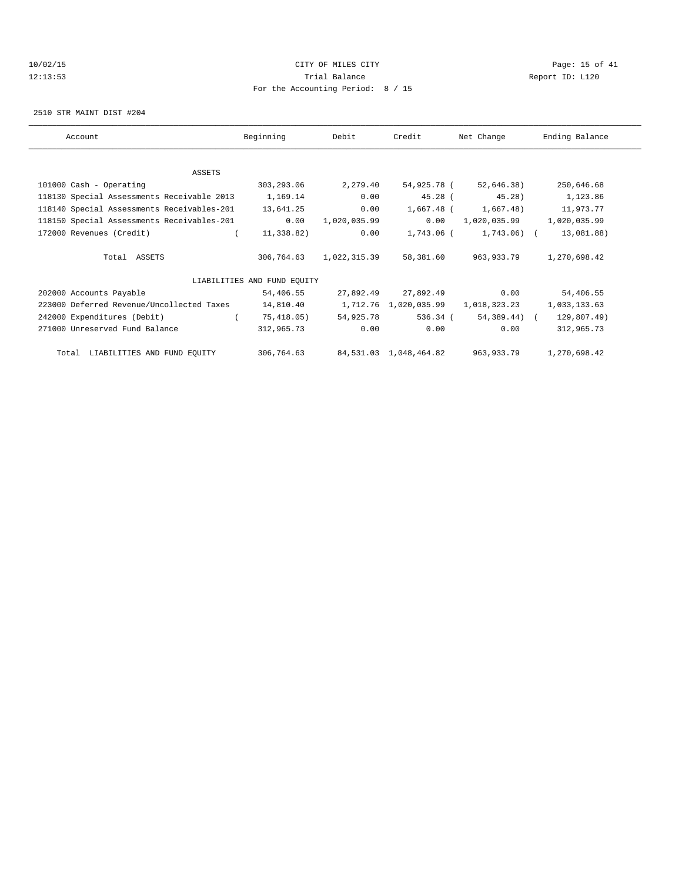# 10/02/15 **CITY OF MILES CITY CITY CITY Page: 15 of 41** 12:13:53 Trial Balance Report ID: L120 For the Accounting Period: 8 / 15

2510 STR MAINT DIST #204

| Account                                    | Beginning                   | Debit        | Credit                            | Net Change                                     | Ending Balance               |
|--------------------------------------------|-----------------------------|--------------|-----------------------------------|------------------------------------------------|------------------------------|
|                                            |                             |              |                                   |                                                |                              |
| ASSETS                                     |                             |              |                                   |                                                |                              |
| 101000 Cash - Operating                    | 303,293.06                  | 2,279.40     |                                   | 54,925.78 (52,646.38)                          | 250,646.68                   |
| 118130 Special Assessments Receivable 2013 | 1,169.14                    | 0.00         |                                   | 45.28 (<br>$45.28$ )                           | 1,123.86                     |
| 118140 Special Assessments Receivables-201 | 13,641.25                   | 0.00         |                                   | $1,667.48$ ( $1,667.48$ )                      | 11,973.77                    |
| 118150 Special Assessments Receivables-201 | 0.00                        | 1,020,035.99 |                                   | $0.00 \qquad 1,020,035.99 \qquad 1,020,035.99$ |                              |
| 172000 Revenues (Credit)                   | 11,338.82)                  | 0.00         | 1,743.06 (                        | 1,743.06) (                                    | 13,081.88)                   |
| Total ASSETS                               | 306,764.63                  | 1,022,315.39 | 58,381.60                         | 963,933.79                                     | 1,270,698.42                 |
|                                            | LIABILITIES AND FUND EQUITY |              |                                   |                                                |                              |
| 202000 Accounts Payable                    | 54,406.55                   | 27,892.49    | 27,892.49                         | 0.00                                           | 54,406.55                    |
| 223000 Deferred Revenue/Uncollected Taxes  | 14,810.40                   |              |                                   | 1,712.76 1,020,035.99 1,018,323.23             | 1,033,133.63                 |
| 242000 Expenditures (Debit)                | 75,418.05)                  | 54,925.78    | 536.34 (                          |                                                | 54,389.44) ( 129,807.49)     |
| 271000 Unreserved Fund Balance             | 312,965.73                  | 0.00         | 0.00                              | 0.00                                           | 312,965.73                   |
| Total LIABILITIES AND FUND EQUITY          |                             |              | 306,764.63 84,531.03 1,048,464.82 |                                                | 963, 933. 79 1, 270, 698. 42 |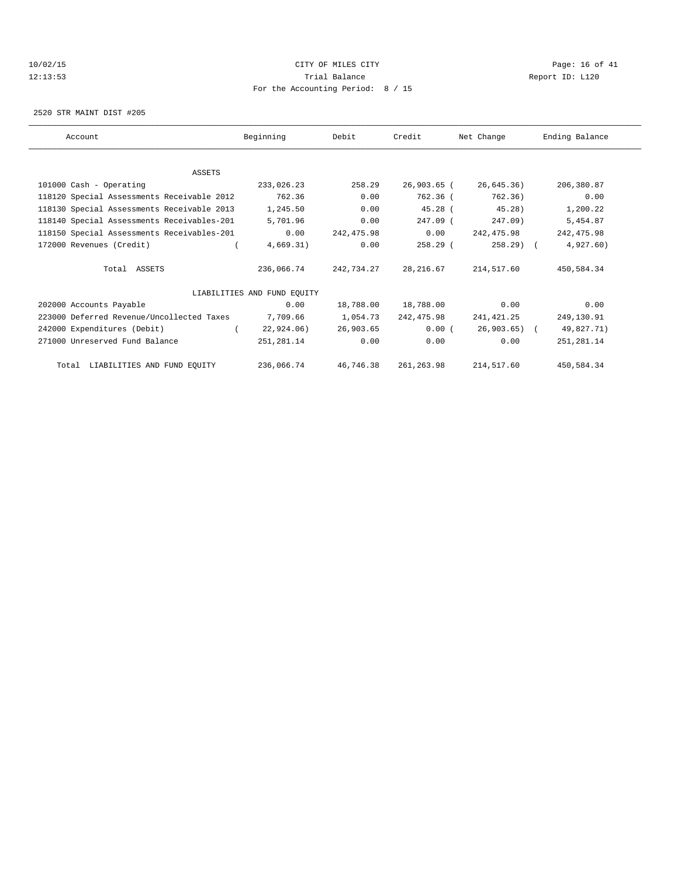## 10/02/15 **CITY OF MILES CITY CITY CITY Page: 16 of 41** 12:13:53 Trial Balance Report ID: L120 For the Accounting Period: 8 / 15

2520 STR MAINT DIST #205

| Account                                    | Beginning                   | Debit      | Credit               | Net Change   | Ending Balance |
|--------------------------------------------|-----------------------------|------------|----------------------|--------------|----------------|
|                                            |                             |            |                      |              |                |
| ASSETS                                     |                             |            |                      |              |                |
| 101000 Cash - Operating                    | 233,026.23                  | 258.29     | 26,903.65 (          | 26,645.36)   | 206,380.87     |
| 118120 Special Assessments Receivable 2012 | 762.36                      | 0.00       | 762.36 (             | 762.36)      | 0.00           |
| 118130 Special Assessments Receivable 2013 | 1,245.50                    | 0.00       | $45.28$ (            | $45.28$ )    | 1,200.22       |
| 118140 Special Assessments Receivables-201 | 5,701.96                    | 0.00       | 247.09 (             | $247.09$ )   | 5,454.87       |
| 118150 Special Assessments Receivables-201 | 0.00                        | 242,475.98 | 0.00                 | 242,475.98   | 242, 475.98    |
| 172000 Revenues (Credit)                   | 4,669.31)                   | 0.00       | 258.29 (             | $258.29$ (   | 4,927.60)      |
| Total ASSETS                               | 236,066.74                  | 242,734.27 | 28,216.67            | 214,517.60   | 450,584.34     |
|                                            | LIABILITIES AND FUND EQUITY |            |                      |              |                |
| 202000 Accounts Payable                    | 0.00                        | 18,788.00  | 18,788.00            | 0.00         | 0.00           |
| 223000 Deferred Revenue/Uncollected Taxes  | 7,709.66                    | 1,054.73   | 242,475.98           | 241,421.25   | 249,130.91     |
| 242000 Expenditures (Debit)                | 22,924.06)                  | 26,903.65  | 0.00(                | 26,903.65) ( | 49,827.71)     |
| 271000 Unreserved Fund Balance             | 251,281.14                  | 0.00       | 0.00                 | 0.00         | 251, 281.14    |
| Total LIABILITIES AND FUND EQUITY          | 236,066.74                  |            | 46,746.38 261,263.98 | 214,517.60   | 450,584.34     |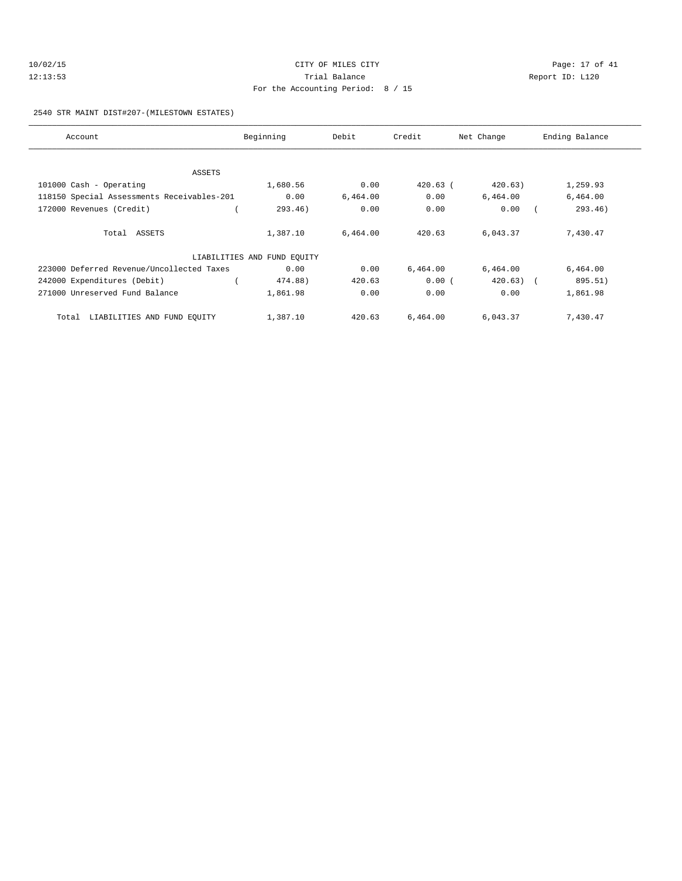| 10/02/15 | CITY OF MILES CITY                | Page: 17 of 41  |
|----------|-----------------------------------|-----------------|
| 12:13:53 | Trial Balance                     | Report ID: L120 |
|          | For the Accounting Period: 8 / 15 |                 |

2540 STR MAINT DIST#207-(MILESTOWN ESTATES)

| Account                                    | Beginning                   | Debit    | Credit     | Net Change   | Ending Balance |
|--------------------------------------------|-----------------------------|----------|------------|--------------|----------------|
|                                            |                             |          |            |              |                |
| ASSETS                                     |                             |          |            |              |                |
| 101000 Cash - Operating                    | 1,680.56                    | 0.00     | $420.63$ ( | 420.63)      | 1,259.93       |
| 118150 Special Assessments Receivables-201 | 0.00                        | 6,464.00 | 0.00       | 6,464.00     | 6,464.00       |
| 172000 Revenues (Credit)                   | 293.46)                     | 0.00     | 0.00       | 0.00         | 293.46)        |
| Total ASSETS                               | 1,387.10                    | 6,464.00 | 420.63     | 6,043.37     | 7,430.47       |
|                                            | LIABILITIES AND FUND EQUITY |          |            |              |                |
| 223000 Deferred Revenue/Uncollected Taxes  | 0.00                        | 0.00     | 6,464.00   | 6,464.00     | 6,464.00       |
| 242000 Expenditures (Debit)                | 474.88)                     | 420.63   | 0.00(      | $420.63$ ) ( | 895.51)        |
| 271000 Unreserved Fund Balance             | 1,861.98                    | 0.00     | 0.00       | 0.00         | 1,861.98       |
| LIABILITIES AND FUND EQUITY<br>Total       | 1,387.10                    | 420.63   | 6,464.00   | 6,043.37     | 7,430.47       |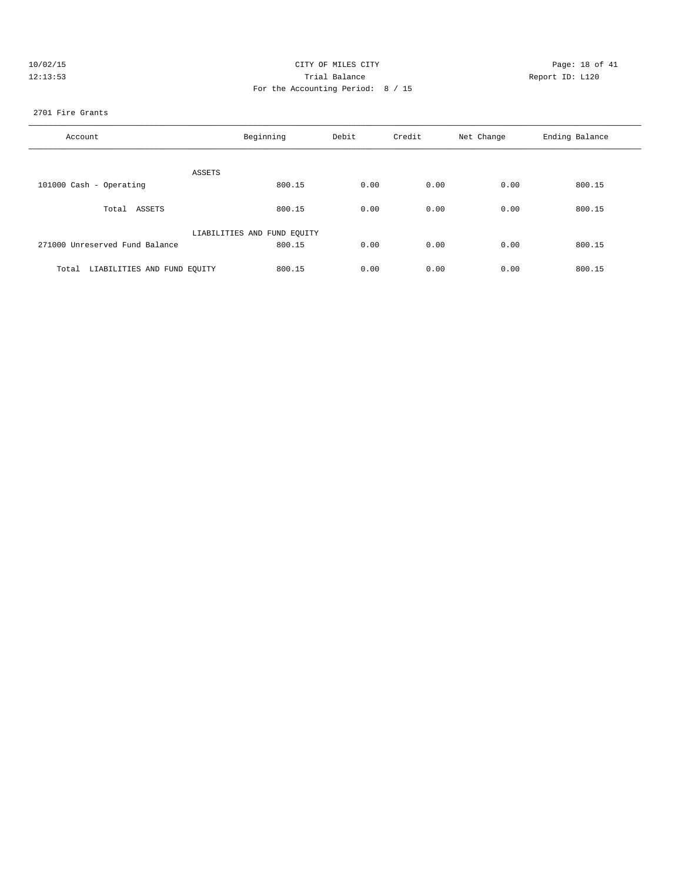| 10/02/15 | CITY OF MILES CITY                | Page: 18 of 41  |
|----------|-----------------------------------|-----------------|
| 12:13:53 | Trial Balance                     | Report ID: L120 |
|          | For the Accounting Period: 8 / 15 |                 |

#### 2701 Fire Grants

| Account                              | Beginning                   | Debit | Credit | Net Change | Ending Balance |
|--------------------------------------|-----------------------------|-------|--------|------------|----------------|
| ASSETS                               |                             |       |        |            |                |
| 101000 Cash - Operating              | 800.15                      | 0.00  | 0.00   | 0.00       | 800.15         |
| Total ASSETS                         | 800.15                      | 0.00  | 0.00   | 0.00       | 800.15         |
|                                      | LIABILITIES AND FUND EQUITY |       |        |            |                |
| 271000 Unreserved Fund Balance       | 800.15                      | 0.00  | 0.00   | 0.00       | 800.15         |
| LIABILITIES AND FUND EQUITY<br>Total | 800.15                      | 0.00  | 0.00   | 0.00       | 800.15         |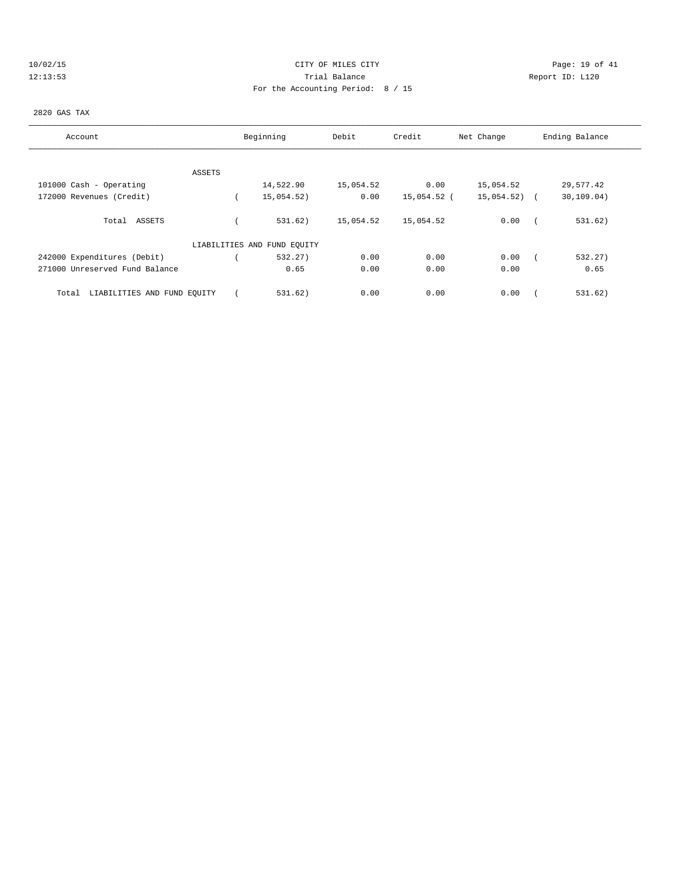|  |  |  | 10/02/15 |  |
|--|--|--|----------|--|
|  |  |  | 12:13:53 |  |

# CITY OF MILES CITY CONTROL CONTROL CONTROL CONTROL CONTROL PAGE: 19 of 41 120 Trial Balance Communications of the Report ID: L120 For the Accounting Period: 8 / 15

#### 2820 GAS TAX

| Account                              |        | Beginning                   | Debit     | Credit      | Net Change    | Ending Balance |
|--------------------------------------|--------|-----------------------------|-----------|-------------|---------------|----------------|
|                                      |        |                             |           |             |               |                |
|                                      | ASSETS |                             |           |             |               |                |
| 101000 Cash - Operating              |        | 14,522.90                   | 15,054.52 | 0.00        | 15,054.52     | 29,577.42      |
| 172000 Revenues (Credit)             |        | 15,054.52)                  | 0.00      | 15,054.52 ( | $15,054.52$ ( | 30, 109.04)    |
| Total ASSETS                         |        | 531.62)                     | 15,054.52 | 15,054.52   | 0.00          | 531.62)        |
|                                      |        | LIABILITIES AND FUND EQUITY |           |             |               |                |
| 242000 Expenditures (Debit)          |        | 532.27                      | 0.00      | 0.00        | 0.00          | 532.27)        |
| 271000 Unreserved Fund Balance       |        | 0.65                        | 0.00      | 0.00        | 0.00          | 0.65           |
| LIABILITIES AND FUND EQUITY<br>Total |        | 531.62)                     | 0.00      | 0.00        | 0.00          | 531.62)        |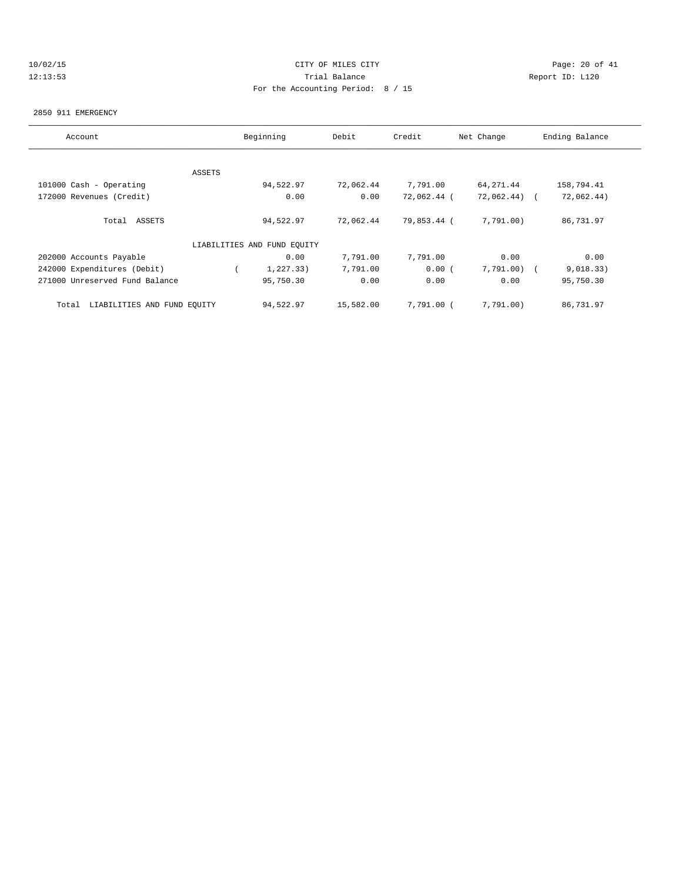# 10/02/15 **Page: 20 of 41** CITY OF MILES CITY **CITY Page: 20 of 41** 12:13:53 Trial Balance Report ID: L120 For the Accounting Period: 8 / 15

#### 2850 911 EMERGENCY

| Account                              |               | Beginning                   | Debit     | Credit      | Net Change   | Ending Balance |
|--------------------------------------|---------------|-----------------------------|-----------|-------------|--------------|----------------|
|                                      |               |                             |           |             |              |                |
|                                      | <b>ASSETS</b> |                             |           |             |              |                |
| 101000 Cash - Operating              |               | 94,522.97                   | 72,062.44 | 7,791.00    | 64, 271.44   | 158,794.41     |
| 172000 Revenues (Credit)             |               | 0.00                        | 0.00      | 72,062.44 ( | 72,062.44) ( | 72,062.44)     |
| Total ASSETS                         |               | 94,522.97                   | 72,062.44 | 79,853.44 ( | 7,791.00)    | 86,731.97      |
|                                      |               | LIABILITIES AND FUND EQUITY |           |             |              |                |
| 202000 Accounts Payable              |               | 0.00                        | 7,791.00  | 7,791.00    | 0.00         | 0.00           |
| 242000 Expenditures (Debit)          |               | 1, 227.33)                  | 7,791.00  | 0.00(       | 7,791.00)    | 9,018.33)      |
| 271000 Unreserved Fund Balance       |               | 95,750.30                   | 0.00      | 0.00        | 0.00         | 95,750.30      |
| LIABILITIES AND FUND EQUITY<br>Total |               | 94,522.97                   | 15,582.00 | 7,791.00 (  | 7,791.00)    | 86,731.97      |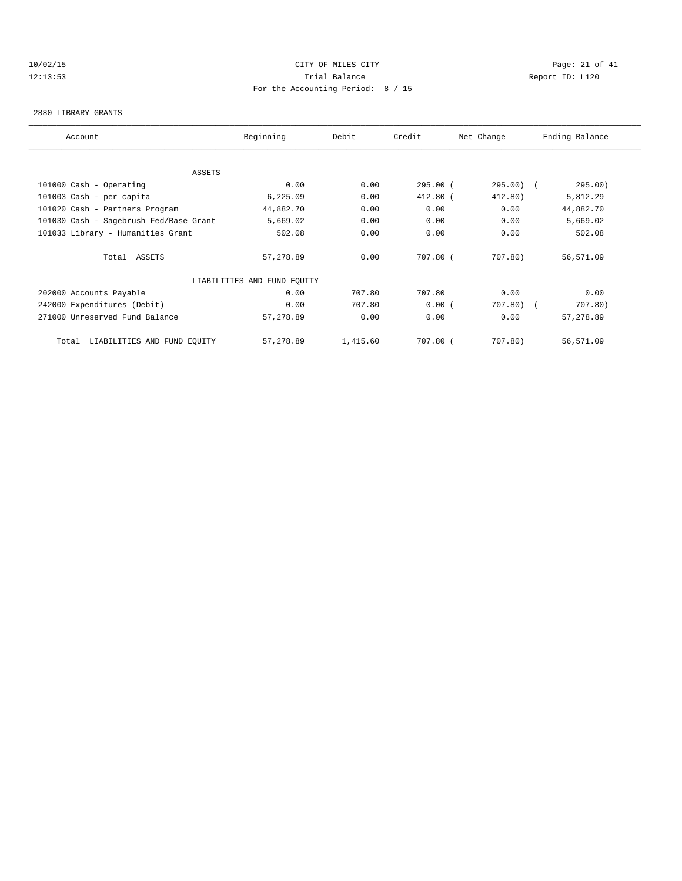## 10/02/15 **Page: 21 of 41** CITY OF MILES CITY **CITY** CITY **Page: 21 of 41** 12:13:53 Trial Balance Report ID: L120 For the Accounting Period: 8 / 15

#### 2880 LIBRARY GRANTS

| Account                                | Beginning                   | Debit    | Credit     | Net Change | Ending Balance |  |
|----------------------------------------|-----------------------------|----------|------------|------------|----------------|--|
|                                        |                             |          |            |            |                |  |
| ASSETS                                 |                             |          |            |            |                |  |
| 101000 Cash - Operating                | 0.00                        | 0.00     | 295.00(    | 295.00) (  | 295.00)        |  |
| 101003 Cash - per capita               | 6, 225.09                   | 0.00     | $412.80$ ( | 412.80)    | 5,812.29       |  |
| 101020 Cash - Partners Program         | 44,882.70                   | 0.00     | 0.00       | 0.00       | 44,882.70      |  |
| 101030 Cash - Sagebrush Fed/Base Grant | 5,669.02                    | 0.00     | 0.00       | 0.00       | 5,669.02       |  |
| 101033 Library - Humanities Grant      | 502.08                      | 0.00     | 0.00       | 0.00       | 502.08         |  |
| Total ASSETS                           | 57,278.89                   | 0.00     | 707.80 (   | 707.80)    | 56,571.09      |  |
|                                        | LIABILITIES AND FUND EQUITY |          |            |            |                |  |
| 202000 Accounts Payable                | 0.00                        | 707.80   | 707.80     | 0.00       | 0.00           |  |
| 242000 Expenditures (Debit)            | 0.00                        | 707.80   | 0.00(      | $707.80$ ( | 707.80)        |  |
| 271000 Unreserved Fund Balance         | 57,278.89                   | 0.00     | 0.00       | 0.00       | 57,278.89      |  |
| LIABILITIES AND FUND EQUITY<br>Total   | 57,278.89                   | 1,415.60 | 707.80 (   | 707.80)    | 56,571.09      |  |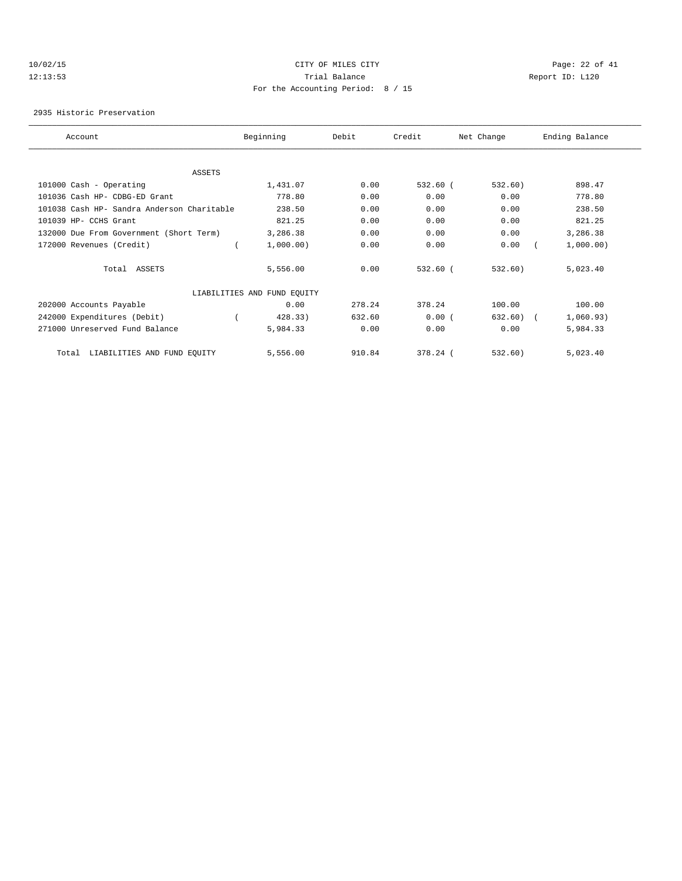## 10/02/15 **Page: 22 of 41** CITY OF MILES CITY **CITY Page: 22 of 41** 12:13:53 Trial Balance Report ID: L120 For the Accounting Period: 8 / 15

2935 Historic Preservation

| Account                                    | Beginning                   |           | Debit  | Credit     | Net Change | Ending Balance |  |
|--------------------------------------------|-----------------------------|-----------|--------|------------|------------|----------------|--|
|                                            |                             |           |        |            |            |                |  |
| ASSETS                                     |                             |           |        |            |            |                |  |
| 101000 Cash - Operating                    |                             | 1,431.07  | 0.00   | $532.60$ ( | 532.60)    | 898.47         |  |
| 101036 Cash HP- CDBG-ED Grant              |                             | 778.80    | 0.00   | 0.00       | 0.00       | 778.80         |  |
| 101038 Cash HP- Sandra Anderson Charitable |                             | 238.50    | 0.00   | 0.00       | 0.00       | 238.50         |  |
| 101039 HP- CCHS Grant                      |                             | 821.25    | 0.00   | 0.00       | 0.00       | 821.25         |  |
| 132000 Due From Government (Short Term)    |                             | 3,286.38  | 0.00   | 0.00       | 0.00       | 3,286.38       |  |
| 172000 Revenues (Credit)                   |                             | 1,000.00) | 0.00   | 0.00       | 0.00       | 1,000.00)      |  |
| Total ASSETS                               |                             | 5,556.00  | 0.00   | 532.60 (   | 532.60)    | 5,023.40       |  |
|                                            | LIABILITIES AND FUND EQUITY |           |        |            |            |                |  |
| 202000 Accounts Payable                    |                             | 0.00      | 278.24 | 378.24     | 100.00     | 100.00         |  |
| 242000 Expenditures (Debit)                |                             | 428.33)   | 632.60 | 0.00(      | 632.60)    | 1,060.93)      |  |
| 271000 Unreserved Fund Balance             |                             | 5,984.33  | 0.00   | 0.00       | 0.00       | 5,984.33       |  |
| LIABILITIES AND FUND EQUITY<br>Total       |                             | 5,556.00  | 910.84 | 378.24 (   | 532.60)    | 5,023.40       |  |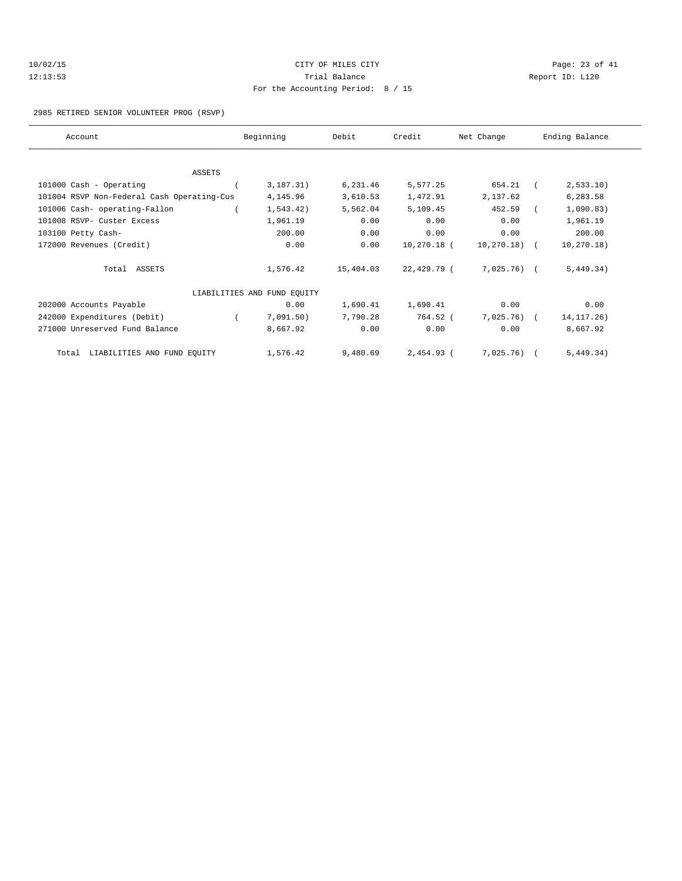| 10/02/15 | CITY OF MILES CITY                  |     |
|----------|-------------------------------------|-----|
| 12:13:53 | Trial Balance                       | Rep |
|          | For the Accounting Period: $8 / 15$ |     |

Page: 23 of 41 port ID: L120

### 2985 RETIRED SENIOR VOLUNTEER PROG (RSVP)

| Account                                    | Beginning                   | Debit     | Credit       | Net Change     | Ending Balance |
|--------------------------------------------|-----------------------------|-----------|--------------|----------------|----------------|
|                                            |                             |           |              |                |                |
| <b>ASSETS</b>                              |                             |           |              |                |                |
| 101000 Cash - Operating                    | 3,187.31)                   | 6,231.46  | 5,577.25     | 654.21         | 2,533.10       |
| 101004 RSVP Non-Federal Cash Operating-Cus | 4,145.96                    | 3,610.53  | 1,472.91     | 2,137.62       | 6,283.58       |
| 101006 Cash- operating-Fallon              | 1,543.42)                   | 5,562.04  | 5,109.45     | 452.59         | 1,090.83)      |
| 101008 RSVP- Custer Excess                 | 1,961.19                    | 0.00      | 0.00         | 0.00           | 1,961.19       |
| 103100 Petty Cash-                         | 200.00                      | 0.00      | 0.00         | 0.00           | 200.00         |
| 172000 Revenues (Credit)                   | 0.00                        | 0.00      | 10,270.18 (  | $10, 270.18$ ( | 10, 270.18)    |
| Total ASSETS                               | 1,576.42                    | 15,404.03 | 22,429.79 (  | 7,025.76) (    | 5,449.34)      |
|                                            | LIABILITIES AND FUND EQUITY |           |              |                |                |
| 202000 Accounts Payable                    | 0.00                        | 1,690.41  | 1,690.41     | 0.00           | 0.00           |
| 242000 Expenditures (Debit)                | 7,091.50)                   | 7,790.28  | 764.52 (     | $7,025.76$ (   | 14, 117. 26)   |
| 271000 Unreserved Fund Balance             | 8,667.92                    | 0.00      | 0.00         | 0.00           | 8,667.92       |
| LIABILITIES AND FUND EQUITY<br>Total       | 1,576.42                    | 9,480.69  | $2,454.93$ ( | 7,025.76)      | 5,449.34)      |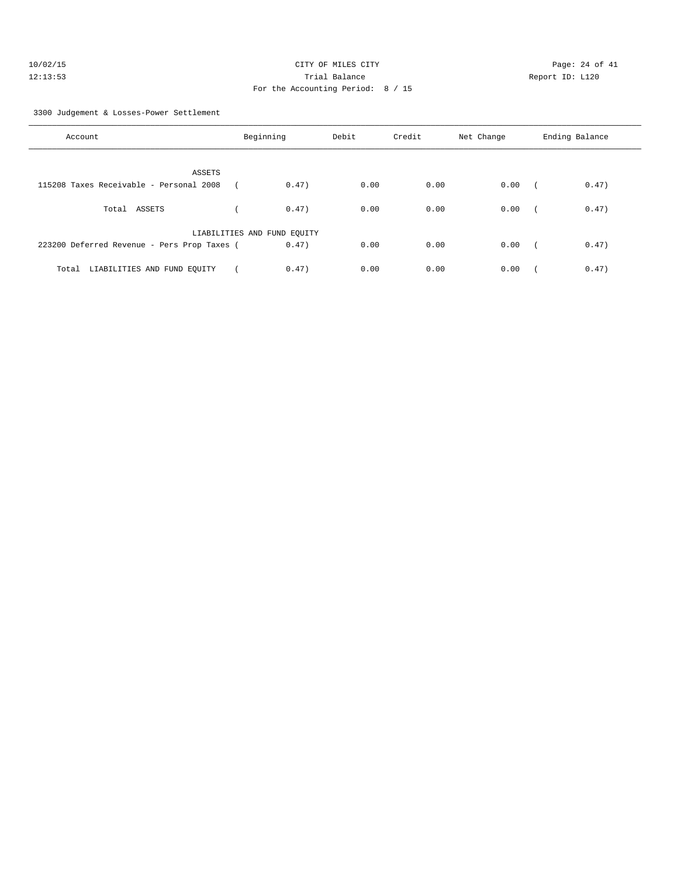| 10/02/15 | CITY OF MILES CITY                | Page: $24o$     |
|----------|-----------------------------------|-----------------|
| 12:13:53 | Trial Balance                     | Report ID: L120 |
|          | For the Accounting Period: 8 / 15 |                 |

Page: 24 of 41

#### 3300 Judgement & Losses-Power Settlement

| Account                                     | Beginning                   | Debit | Credit | Net Change | Ending Balance      |
|---------------------------------------------|-----------------------------|-------|--------|------------|---------------------|
| ASSETS                                      |                             |       |        |            |                     |
| 115208 Taxes Receivable - Personal 2008     | 0.47)                       | 0.00  | 0.00   | 0.00       | 0.47)<br>$\sqrt{2}$ |
| Total ASSETS                                | 0.47)                       | 0.00  | 0.00   | 0.00       | 0.47)<br>$\sqrt{2}$ |
|                                             | LIABILITIES AND FUND EQUITY |       |        |            |                     |
| 223200 Deferred Revenue - Pers Prop Taxes ( | 0.47)                       | 0.00  | 0.00   | 0.00       | 0.47)<br>$\sqrt{2}$ |
| LIABILITIES AND FUND EQUITY<br>Total        | 0.47)                       | 0.00  | 0.00   | 0.00       | 0.47)               |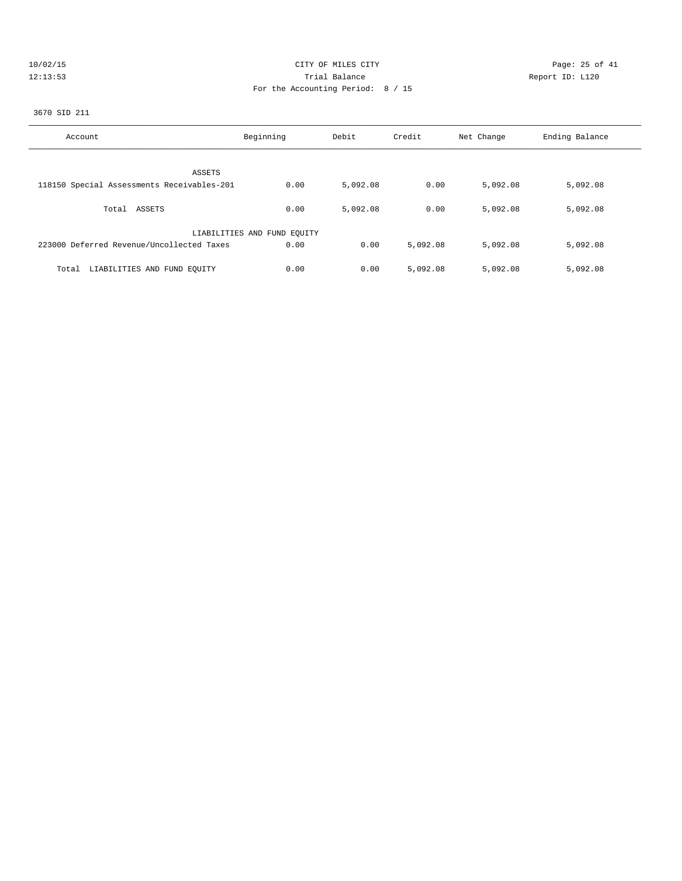| 10/02/15 |  |     |  |  |
|----------|--|-----|--|--|
|          |  | כ ו |  |  |

# CITY OF MILES CITY **CITY** Page: 25 of 41 12:13:53 Trial Balance Report ID: L120 For the Accounting Period: 8 / 15

## 3670 SID 211

| Account                                    | Beginning                   | Debit    | Credit   | Net Change | Ending Balance |
|--------------------------------------------|-----------------------------|----------|----------|------------|----------------|
|                                            |                             |          |          |            |                |
| ASSETS                                     |                             |          |          |            |                |
| 118150 Special Assessments Receivables-201 | 0.00                        | 5,092.08 | 0.00     | 5,092.08   | 5,092.08       |
|                                            |                             |          |          |            |                |
| Total ASSETS                               | 0.00                        | 5,092.08 | 0.00     | 5,092.08   | 5,092.08       |
|                                            |                             |          |          |            |                |
|                                            | LIABILITIES AND FUND EQUITY |          |          |            |                |
|                                            |                             |          |          |            |                |
| 223000 Deferred Revenue/Uncollected Taxes  | 0.00                        | 0.00     | 5,092.08 | 5,092.08   | 5,092.08       |
|                                            |                             |          |          |            |                |
| LIABILITIES AND FUND EQUITY<br>Total       | 0.00                        | 0.00     | 5,092.08 | 5,092.08   | 5,092.08       |
|                                            |                             |          |          |            |                |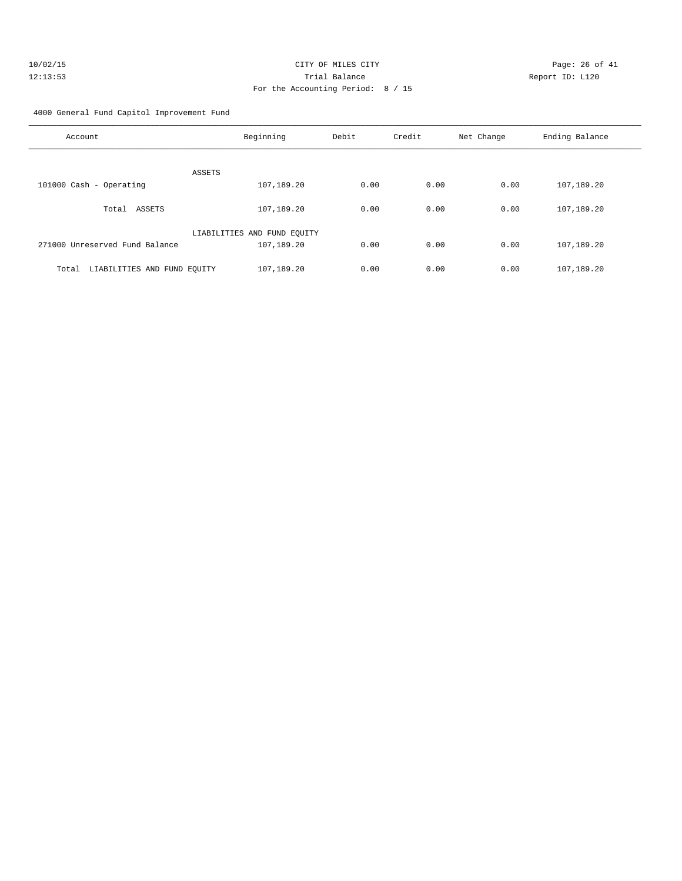| 10/02/15 | CITY OF MILES CITY                | Page: $26o$     |
|----------|-----------------------------------|-----------------|
| 12:13:53 | Trial Balance                     | Report ID: L120 |
|          | For the Accounting Period: 8 / 15 |                 |

Page: 26 of 41

4000 General Fund Capitol Improvement Fund

| Account                              | Beginning                   | Debit | Credit | Net Change | Ending Balance |
|--------------------------------------|-----------------------------|-------|--------|------------|----------------|
| ASSETS                               |                             |       |        |            |                |
| 101000 Cash - Operating              | 107,189.20                  | 0.00  | 0.00   | 0.00       | 107,189.20     |
| ASSETS<br>Total                      | 107,189.20                  | 0.00  | 0.00   | 0.00       | 107,189.20     |
|                                      | LIABILITIES AND FUND EQUITY |       |        |            |                |
| 271000 Unreserved Fund Balance       | 107,189.20                  | 0.00  | 0.00   | 0.00       | 107,189.20     |
| LIABILITIES AND FUND EQUITY<br>Total | 107,189.20                  | 0.00  | 0.00   | 0.00       | 107,189.20     |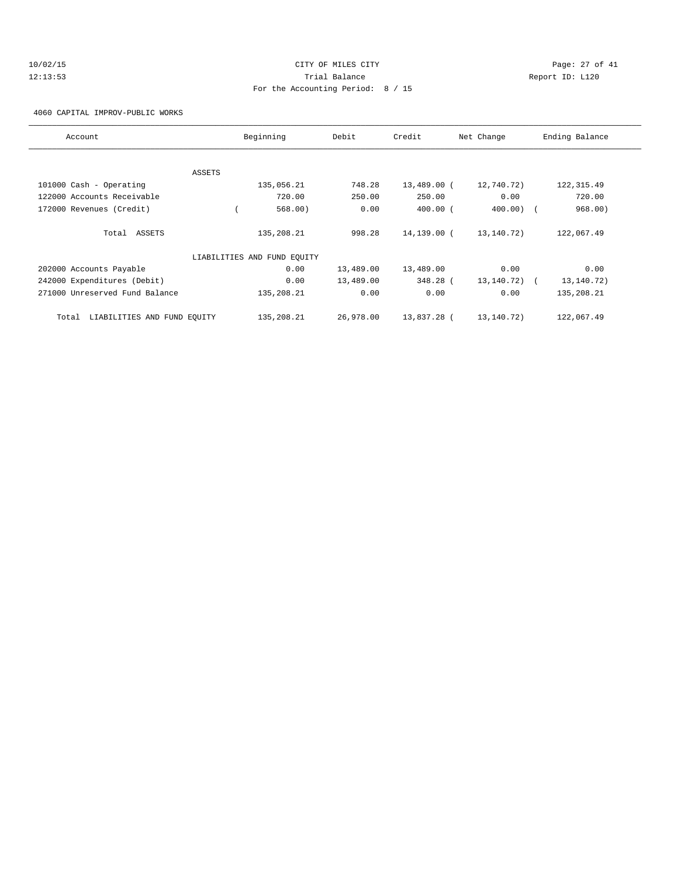# 10/02/15 Page: 27 of 41 12:13:53 Trial Balance Report ID: L120 For the Accounting Period: 8 / 15

4060 CAPITAL IMPROV-PUBLIC WORKS

| Account                              |        | Beginning                   | Debit     | Credit      | Net Change | Ending Balance |
|--------------------------------------|--------|-----------------------------|-----------|-------------|------------|----------------|
|                                      |        |                             |           |             |            |                |
|                                      | ASSETS |                             |           |             |            |                |
| 101000 Cash - Operating              |        | 135,056.21                  | 748.28    | 13,489.00 ( | 12,740.72) | 122, 315.49    |
| 122000 Accounts Receivable           |        | 720.00                      | 250.00    | 250.00      | 0.00       | 720.00         |
| 172000 Revenues (Credit)             |        | 568.00)                     | 0.00      | $400.00$ (  | $400.00$ ) | 968.00)        |
| Total ASSETS                         |        | 135,208.21                  | 998.28    | 14,139.00 ( | 13,140.72) | 122,067.49     |
|                                      |        | LIABILITIES AND FUND EQUITY |           |             |            |                |
| 202000 Accounts Payable              |        | 0.00                        | 13,489.00 | 13,489.00   | 0.00       | 0.00           |
| 242000 Expenditures (Debit)          |        | 0.00                        | 13,489.00 | 348.28 (    | 13,140.72) | 13, 140. 72)   |
| 271000 Unreserved Fund Balance       |        | 135,208.21                  | 0.00      | 0.00        | 0.00       | 135,208.21     |
| LIABILITIES AND FUND EQUITY<br>Total |        | 135,208.21                  | 26,978.00 | 13,837.28 ( | 13,140.72) | 122,067.49     |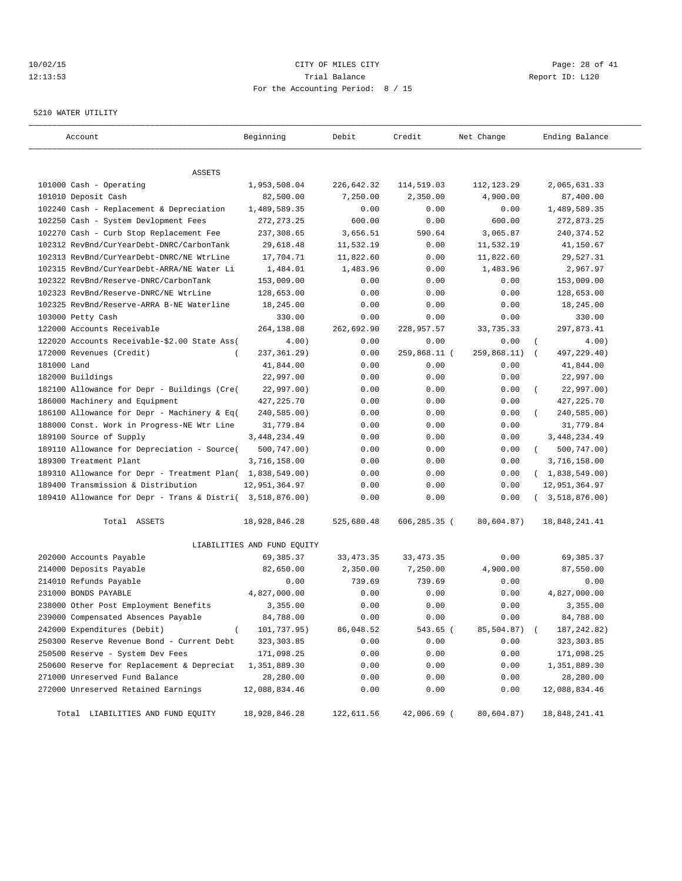## 10/02/15 **Page: 28 of 41 CITY OF MILES CITY CITY Page: 28 of 41** 12:13:53 Trial Balance Report ID: L120 For the Accounting Period: 8 / 15

#### 5210 WATER UTILITY

| Account                                                   | Beginning                   | Debit       | Credit          | Net Change   | Ending Balance                |
|-----------------------------------------------------------|-----------------------------|-------------|-----------------|--------------|-------------------------------|
|                                                           |                             |             |                 |              |                               |
| ASSETS<br>101000 Cash - Operating                         | 1,953,508.04                | 226,642.32  | 114,519.03      | 112, 123.29  | 2,065,631.33                  |
| 101010 Deposit Cash                                       | 82,500.00                   | 7,250.00    | 2,350.00        | 4,900.00     | 87,400.00                     |
| 102240 Cash - Replacement & Depreciation                  | 1,489,589.35                | 0.00        | 0.00            | 0.00         | 1,489,589.35                  |
| 102250 Cash - System Devlopment Fees                      | 272, 273. 25                | 600.00      | 0.00            | 600.00       | 272,873.25                    |
| 102270 Cash - Curb Stop Replacement Fee                   | 237,308.65                  | 3,656.51    | 590.64          | 3,065.87     | 240, 374.52                   |
| 102312 RevBnd/CurYearDebt-DNRC/CarbonTank                 | 29,618.48                   | 11,532.19   | 0.00            | 11,532.19    | 41,150.67                     |
| 102313 RevBnd/CurYearDebt-DNRC/NE WtrLine                 | 17,704.71                   | 11,822.60   | 0.00            | 11,822.60    | 29,527.31                     |
| 102315 RevBnd/CurYearDebt-ARRA/NE Water Li                | 1,484.01                    | 1,483.96    | 0.00            | 1,483.96     | 2,967.97                      |
| 102322 RevBnd/Reserve-DNRC/CarbonTank                     | 153,009.00                  | 0.00        | 0.00            | 0.00         | 153,009.00                    |
| 102323 RevBnd/Reserve-DNRC/NE WtrLine                     | 128,653.00                  | 0.00        | 0.00            | 0.00         | 128,653.00                    |
| 102325 RevBnd/Reserve-ARRA B-NE Waterline                 | 18,245.00                   | 0.00        | 0.00            | 0.00         | 18,245.00                     |
| 103000 Petty Cash                                         | 330.00                      | 0.00        | 0.00            | 0.00         | 330.00                        |
| 122000 Accounts Receivable                                | 264,138.08                  | 262,692.90  | 228,957.57      | 33,735.33    | 297,873.41                    |
| 122020 Accounts Receivable-\$2.00 State Ass(              | 4.00)                       | 0.00        | 0.00            | 0.00         | $\overline{(\cdot)}$<br>4.00) |
| 172000 Revenues (Credit)<br>$\overline{ }$                | 237, 361.29)                | 0.00        | 259,868.11 (    | 259,868.11)  | 497,229.40)<br>$\sqrt{ }$     |
| 181000 Land                                               | 41,844.00                   | 0.00        | 0.00            | 0.00         | 41,844.00                     |
| 182000 Buildings                                          | 22,997.00                   | 0.00        | 0.00            | 0.00         | 22,997.00                     |
| 182100 Allowance for Depr - Buildings (Cre(               | 22,997.00)                  | 0.00        | 0.00            | 0.00         | 22,997.00)                    |
| 186000 Machinery and Equipment                            | 427, 225.70                 | 0.00        | 0.00            | 0.00         | 427, 225.70                   |
| 186100 Allowance for Depr - Machinery & Eq(               | 240,585.00)                 | 0.00        | 0.00            | 0.00         | 240,585.00)                   |
| 188000 Const. Work in Progress-NE Wtr Line                | 31,779.84                   | 0.00        | 0.00            | 0.00         | 31,779.84                     |
| 189100 Source of Supply                                   | 3,448,234.49                | 0.00        | 0.00            | 0.00         | 3, 448, 234.49                |
| 189110 Allowance for Depreciation - Source(               | 500,747.00)                 | 0.00        | 0.00            | 0.00         | 500,747.00)<br>$\left($       |
| 189300 Treatment Plant                                    | 3,716,158.00                | 0.00        | 0.00            | 0.00         | 3,716,158.00                  |
| 189310 Allowance for Depr - Treatment Plan( 1,838,549.00) |                             | 0.00        | 0.00            | 0.00         | (1,838,549.00)                |
| 189400 Transmission & Distribution                        | 12,951,364.97               | 0.00        | 0.00            | 0.00         | 12,951,364.97                 |
| 189410 Allowance for Depr - Trans & Distri( 3,518,876.00) |                             | 0.00        | 0.00            | 0.00         | (3, 518, 876.00)              |
| Total ASSETS                                              | 18,928,846.28               | 525,680.48  | $606, 285.35$ ( | 80,604.87)   | 18,848,241.41                 |
|                                                           | LIABILITIES AND FUND EQUITY |             |                 |              |                               |
| 202000 Accounts Payable                                   | 69, 385. 37                 | 33, 473. 35 | 33, 473. 35     | 0.00         | 69,385.37                     |
| 214000 Deposits Payable                                   | 82,650.00                   | 2,350.00    | 7,250.00        | 4,900.00     | 87,550.00                     |
| 214010 Refunds Payable                                    | 0.00                        | 739.69      | 739.69          | 0.00         | 0.00                          |
| 231000 BONDS PAYABLE                                      | 4,827,000.00                | 0.00        | 0.00            | 0.00         | 4,827,000.00                  |
| 238000 Other Post Employment Benefits                     | 3,355.00                    | 0.00        | 0.00            | 0.00         | 3,355.00                      |
| 239000 Compensated Absences Payable                       | 84,788.00                   | 0.00        | 0.00            | 0.00         | 84,788.00                     |
| 242000 Expenditures (Debit)<br>$\left($                   | 101,737.95)                 | 86,048.52   | 543.65 (        | 85,504.87) ( | 187, 242.82)                  |
| 250300 Reserve Revenue Bond - Current Debt                | 323, 303.85                 | 0.00        | 0.00            | 0.00         | 323,303.85                    |
| 250500 Reserve - System Dev Fees                          | 171,098.25                  | 0.00        | 0.00            | 0.00         | 171,098.25                    |
| 250600 Reserve for Replacement & Depreciat                | 1,351,889.30                | 0.00        | 0.00            | 0.00         | 1,351,889.30                  |
| 271000 Unreserved Fund Balance                            | 28,280.00                   | 0.00        | 0.00            | 0.00         | 28,280.00                     |
| 272000 Unreserved Retained Earnings                       | 12,088,834.46               | 0.00        | 0.00            | 0.00         | 12,088,834.46                 |
| Total LIABILITIES AND FUND EQUITY                         | 18,928,846.28               | 122,611.56  | 42,006.69 (     | 80,604.87)   | 18,848,241.41                 |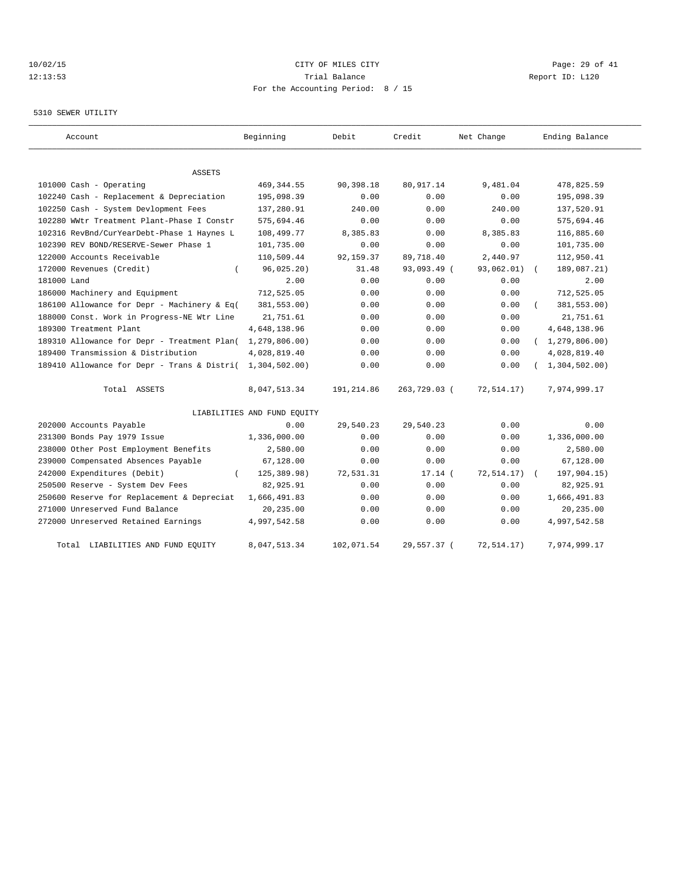# 10/02/15 **Page: 29 of 41** CITY OF MILES CITY **CITY Page: 29 of 41** 12:13:53 Trial Balance Report ID: L120 For the Accounting Period: 8 / 15

## 5310 SEWER UTILITY

| Account                                     | Beginning                   | Debit       | Credit       | Net Change  | Ending Balance   |
|---------------------------------------------|-----------------------------|-------------|--------------|-------------|------------------|
| ASSETS                                      |                             |             |              |             |                  |
| 101000 Cash - Operating                     | 469, 344.55                 | 90,398.18   | 80, 917.14   | 9,481.04    | 478,825.59       |
| 102240 Cash - Replacement & Depreciation    | 195,098.39                  | 0.00        | 0.00         | 0.00        | 195,098.39       |
| 102250 Cash - System Devlopment Fees        | 137,280.91                  | 240.00      | 0.00         | 240.00      | 137,520.91       |
| 102280 WWtr Treatment Plant-Phase I Constr  | 575,694.46                  | 0.00        | 0.00         | 0.00        | 575,694.46       |
| 102316 RevBnd/CurYearDebt-Phase 1 Haynes L  | 108,499.77                  | 8,385.83    | 0.00         | 8,385.83    | 116,885.60       |
| 102390 REV BOND/RESERVE-Sewer Phase 1       | 101,735.00                  | 0.00        | 0.00         | 0.00        | 101,735.00       |
| 122000 Accounts Receivable                  | 110,509.44                  | 92, 159. 37 | 89,718.40    | 2,440.97    | 112,950.41       |
| 172000 Revenues (Credit)                    | 96,025.20)                  | 31.48       | 93,093.49 (  | 93,062.01)  | 189,087.21)      |
| 181000 Land                                 | 2.00                        | 0.00        | 0.00         | 0.00        | 2.00             |
| 186000 Machinery and Equipment              | 712,525.05                  | 0.00        | 0.00         | 0.00        | 712,525.05       |
| 186100 Allowance for Depr - Machinery & Eq( | 381,553.00)                 | 0.00        | 0.00         | 0.00        | 381,553.00)      |
| 188000 Const. Work in Progress-NE Wtr Line  | 21,751.61                   | 0.00        | 0.00         | 0.00        | 21,751.61        |
| 189300 Treatment Plant                      | 4,648,138.96                | 0.00        | 0.00         | 0.00        | 4,648,138.96     |
| 189310 Allowance for Depr - Treatment Plan( | 1, 279, 806.00)             | 0.00        | 0.00         | 0.00        | (1, 279, 806.00) |
| 189400 Transmission & Distribution          | 4,028,819.40                | 0.00        | 0.00         | 0.00        | 4,028,819.40     |
| 189410 Allowance for Depr - Trans & Distri( | 1,304,502.00                | 0.00        | 0.00         | 0.00        | (1, 304, 502.00) |
| Total ASSETS                                | 8,047,513.34                | 191,214.86  | 263,729.03 ( | 72,514.17)  | 7,974,999.17     |
|                                             | LIABILITIES AND FUND EQUITY |             |              |             |                  |
| 202000 Accounts Payable                     | 0.00                        | 29,540.23   | 29,540.23    | 0.00        | 0.00             |
| 231300 Bonds Pay 1979 Issue                 | 1,336,000.00                | 0.00        | 0.00         | 0.00        | 1,336,000.00     |
| 238000 Other Post Employment Benefits       | 2,580.00                    | 0.00        | 0.00         | 0.00        | 2,580.00         |
| 239000 Compensated Absences Payable         | 67,128.00                   | 0.00        | 0.00         | 0.00        | 67,128.00        |
| 242000 Expenditures (Debit)                 | 125,389.98)                 | 72,531.31   | $17.14$ (    | 72, 514.17) | 197,904.15)      |
| 250500 Reserve - System Dev Fees            | 82,925.91                   | 0.00        | 0.00         | 0.00        | 82,925.91        |
| 250600 Reserve for Replacement & Depreciat  | 1,666,491.83                | 0.00        | 0.00         | 0.00        | 1,666,491.83     |
| 271000 Unreserved Fund Balance              | 20,235.00                   | 0.00        | 0.00         | 0.00        | 20,235.00        |
| 272000 Unreserved Retained Earnings         | 4,997,542.58                | 0.00        | 0.00         | 0.00        | 4,997,542.58     |
| Total LIABILITIES AND FUND EQUITY           | 8,047,513.34                | 102,071.54  | 29,557.37 (  | 72,514.17)  | 7,974,999.17     |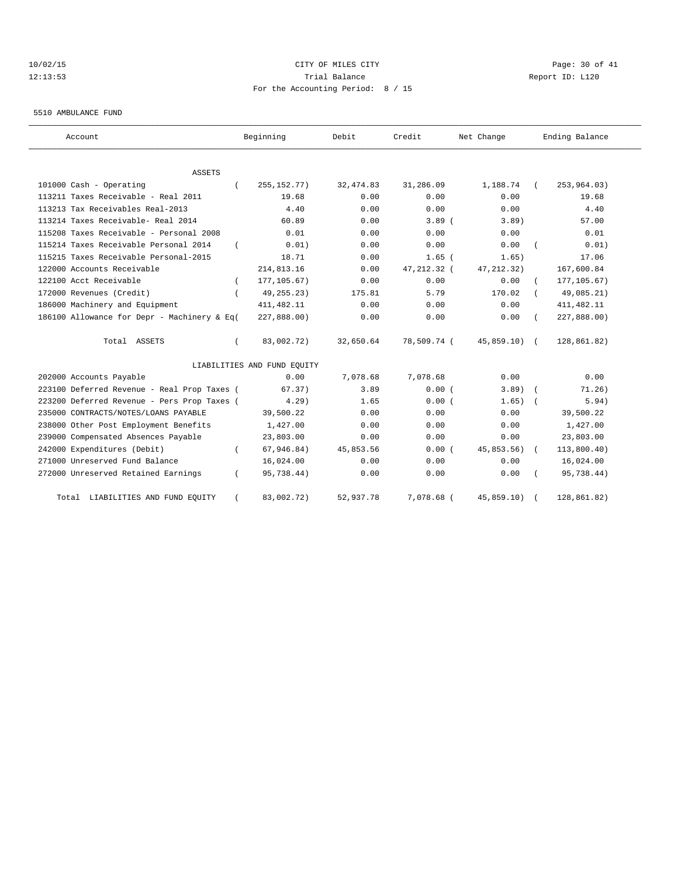# 10/02/15 **CITY OF MILES CITY CITY CITY Page: 30 of 41** 12:13:53 Trial Balance Report ID: L120 For the Accounting Period: 8 / 15

#### 5510 AMBULANCE FUND

| Account                                     | Beginning                   | Debit      | Credit       | Net Change    | Ending Balance |
|---------------------------------------------|-----------------------------|------------|--------------|---------------|----------------|
| <b>ASSETS</b>                               |                             |            |              |               |                |
| 101000 Cash - Operating                     | 255, 152. 77)               | 32, 474.83 | 31,286.09    | 1,188.74      | 253,964.03)    |
| 113211 Taxes Receivable - Real 2011         | 19.68                       | 0.00       | 0.00         | 0.00          | 19.68          |
| 113213 Tax Receivables Real-2013            | 4.40                        | 0.00       | 0.00         | 0.00          | 4.40           |
| 113214 Taxes Receivable- Real 2014          | 60.89                       | 0.00       | $3.89$ (     | 3.89)         | 57.00          |
| 115208 Taxes Receivable - Personal 2008     | 0.01                        | 0.00       | 0.00         | 0.00          | 0.01           |
| 115214 Taxes Receivable Personal 2014       | 0.01)                       | 0.00       | 0.00         | 0.00          | 0.01)          |
| 115215 Taxes Receivable Personal-2015       | 18.71                       | 0.00       | $1.65$ (     | 1.65)         | 17.06          |
| 122000 Accounts Receivable                  | 214,813.16                  | 0.00       | 47, 212.32 ( | 47, 212.32)   | 167,600.84     |
| 122100 Acct Receivable                      | 177, 105.67)                | 0.00       | 0.00         | 0.00          | 177, 105.67)   |
| 172000 Revenues (Credit)                    | 49, 255. 23)                | 175.81     | 5.79         | 170.02        | 49,085.21)     |
| 186000 Machinery and Equipment              | 411, 482.11                 | 0.00       | 0.00         | 0.00          | 411, 482.11    |
| 186100 Allowance for Depr - Machinery & Eq( | 227,888.00)                 | 0.00       | 0.00         | 0.00          | 227,888.00)    |
| Total ASSETS                                | 83,002.72)                  | 32,650.64  | 78,509.74 (  | $45,859.10$ ( | 128,861.82)    |
|                                             | LIABILITIES AND FUND EQUITY |            |              |               |                |
| 202000 Accounts Payable                     | 0.00                        | 7,078.68   | 7,078.68     | 0.00          | 0.00           |
| 223100 Deferred Revenue - Real Prop Taxes ( | 67.37)                      | 3.89       | 0.00(        | $3.89$ )      | 71.26)         |
| 223200 Deferred Revenue - Pers Prop Taxes ( | 4.29                        | 1.65       | 0.00(        | 1.65)         | 5.94)          |
| 235000 CONTRACTS/NOTES/LOANS PAYABLE        | 39,500.22                   | 0.00       | 0.00         | 0.00          | 39,500.22      |
| 238000 Other Post Employment Benefits       | 1,427.00                    | 0.00       | 0.00         | 0.00          | 1,427.00       |
| 239000 Compensated Absences Payable         | 23,803.00                   | 0.00       | 0.00         | 0.00          | 23,803.00      |
| 242000 Expenditures (Debit)                 | 67, 946.84)                 | 45,853.56  | 0.00(        | 45,853.56)    | 113,800.40)    |
| 271000 Unreserved Fund Balance              | 16,024.00                   | 0.00       | 0.00         | 0.00          | 16,024.00      |
| 272000 Unreserved Retained Earnings         | 95,738.44)                  | 0.00       | 0.00         | 0.00          | 95,738.44)     |
| Total LIABILITIES AND FUND EQUITY           | 83,002.72)                  | 52,937.78  | 7,078.68 (   | 45,859.10)    | 128,861.82)    |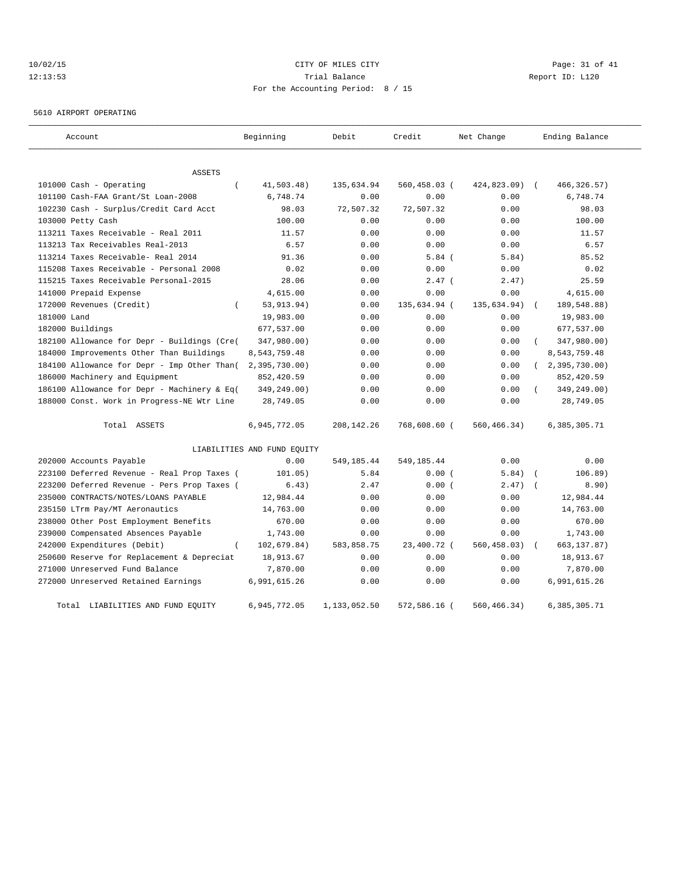# 10/02/15 **Page: 31 of 41** CITY OF MILES CITY **CITY Page: 31 of 41** 12:13:53 Trial Balance Report ID: L120 For the Accounting Period: 8 / 15

5610 AIRPORT OPERATING

| Account                                     | Beginning                   | Debit        | Credit          | Net Change  | Ending Balance            |
|---------------------------------------------|-----------------------------|--------------|-----------------|-------------|---------------------------|
| ASSETS                                      |                             |              |                 |             |                           |
| 101000 Cash - Operating<br>$\overline{(\ }$ | 41,503.48)                  | 135,634.94   | $560, 458.03$ ( | 424,823.09) | 466, 326.57)              |
| 101100 Cash-FAA Grant/St Loan-2008          | 6,748.74                    | 0.00         | 0.00            | 0.00        | 6,748.74                  |
| 102230 Cash - Surplus/Credit Card Acct      | 98.03                       | 72,507.32    | 72,507.32       | 0.00        | 98.03                     |
| 103000 Petty Cash                           | 100.00                      | 0.00         | 0.00            | 0.00        | 100.00                    |
| 113211 Taxes Receivable - Real 2011         | 11.57                       | 0.00         | 0.00            | 0.00        | 11.57                     |
| 113213 Tax Receivables Real-2013            | 6.57                        | 0.00         | 0.00            | 0.00        | 6.57                      |
| 113214 Taxes Receivable- Real 2014          | 91.36                       | 0.00         | $5.84$ (        | 5.84)       | 85.52                     |
| 115208 Taxes Receivable - Personal 2008     | 0.02                        | 0.00         | 0.00            | 0.00        | 0.02                      |
| 115215 Taxes Receivable Personal-2015       | 28.06                       | 0.00         | $2.47$ (        | 2.47)       | 25.59                     |
| 141000 Prepaid Expense                      | 4,615.00                    | 0.00         | 0.00            | 0.00        | 4,615.00                  |
| 172000 Revenues (Credit)<br>$\left($        | 53, 913. 94)                | 0.00         | 135,634.94 (    | 135,634.94) | 189,548.88)<br>$\sqrt{2}$ |
| 181000 Land                                 | 19,983.00                   | 0.00         | 0.00            | 0.00        | 19,983.00                 |
| 182000 Buildings                            | 677,537.00                  | 0.00         | 0.00            | 0.00        | 677,537.00                |
| 182100 Allowance for Depr - Buildings (Cre( | 347,980.00)                 | 0.00         | 0.00            | 0.00        | 347,980.00)               |
| 184000 Improvements Other Than Buildings    | 8,543,759.48                | 0.00         | 0.00            | 0.00        | 8,543,759.48              |
| 184100 Allowance for Depr - Imp Other Than( | 2,395,730.00                | 0.00         | 0.00            | 0.00        | 2,395,730.00)<br>$\left($ |
| 186000 Machinery and Equipment              | 852,420.59                  | 0.00         | 0.00            | 0.00        | 852,420.59                |
| 186100 Allowance for Depr - Machinery & Eq( | 349,249.00)                 | 0.00         | 0.00            | 0.00        | 349,249.00)               |
| 188000 Const. Work in Progress-NE Wtr Line  | 28,749.05                   | 0.00         | 0.00            | 0.00        | 28,749.05                 |
| Total ASSETS                                | 6,945,772.05                | 208, 142. 26 | 768,608.60 (    | 560,466.34) | 6,385,305.71              |
|                                             | LIABILITIES AND FUND EQUITY |              |                 |             |                           |
| 202000 Accounts Payable                     | 0.00                        | 549,185.44   | 549, 185.44     | 0.00        | 0.00                      |
| 223100 Deferred Revenue - Real Prop Taxes ( | 101.05)                     | 5.84         | 0.00(           | 5.84)       | 106.89)<br>$\sqrt{2}$     |
| 223200 Deferred Revenue - Pers Prop Taxes ( | 6.43)                       | 2.47         | 0.00(           | 2.47)       | 8.90)                     |
| 235000 CONTRACTS/NOTES/LOANS PAYABLE        | 12,984.44                   | 0.00         | 0.00            | 0.00        | 12,984.44                 |
| 235150 LTrm Pay/MT Aeronautics              | 14,763.00                   | 0.00         | 0.00            | 0.00        | 14,763.00                 |
| 238000 Other Post Employment Benefits       | 670.00                      | 0.00         | 0.00            | 0.00        | 670.00                    |
| 239000 Compensated Absences Payable         | 1,743.00                    | 0.00         | 0.00            | 0.00        | 1,743.00                  |
| $\left($<br>242000 Expenditures (Debit)     | 102,679.84)                 | 583,858.75   | 23,400.72 (     | 560,458.03) | 663, 137.87)              |
| 250600 Reserve for Replacement & Depreciat  | 18,913.67                   | 0.00         | 0.00            | 0.00        | 18,913.67                 |
| 271000 Unreserved Fund Balance              | 7,870.00                    | 0.00         | 0.00            | 0.00        | 7,870.00                  |
| 272000 Unreserved Retained Earnings         | 6,991,615.26                | 0.00         | 0.00            | 0.00        | 6,991,615.26              |
| Total LIABILITIES AND FUND EQUITY           | 6,945,772.05                | 1,133,052.50 | 572,586.16 (    | 560,466.34) | 6,385,305.71              |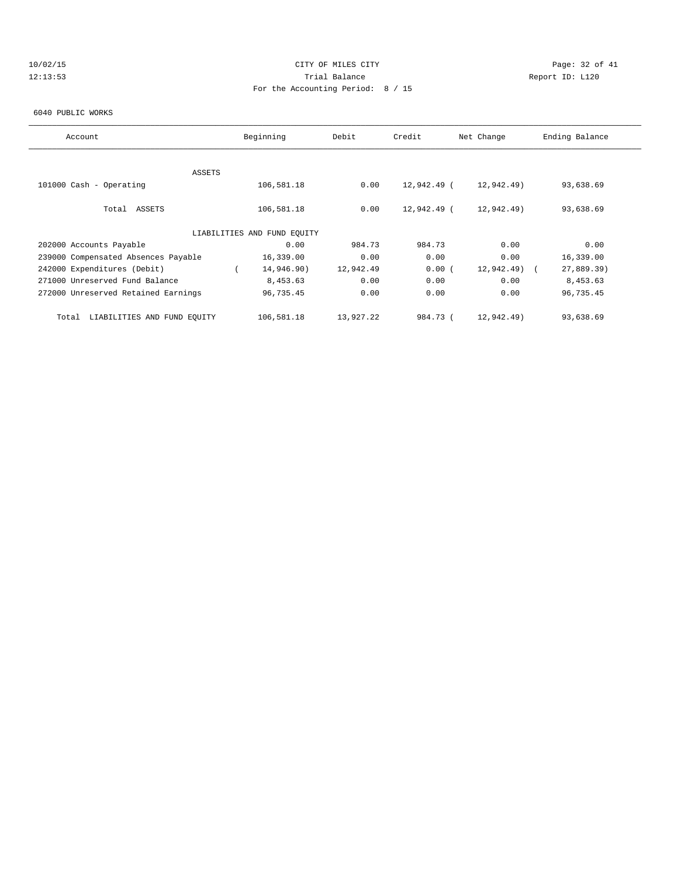# 10/02/15 **Page: 32 of 41** CITY OF MILES CITY **Page: 32 of 41** 12:13:53 Trial Balance Report ID: L120 For the Accounting Period: 8 / 15

#### 6040 PUBLIC WORKS

| Account                             | Beginning                   | Debit     | Credit      | Net Change | Ending Balance |
|-------------------------------------|-----------------------------|-----------|-------------|------------|----------------|
|                                     |                             |           |             |            |                |
| ASSETS                              |                             |           |             |            |                |
| 101000 Cash - Operating             | 106,581.18                  | 0.00      | 12,942.49 ( | 12,942.49) | 93,638.69      |
| Total ASSETS                        | 106,581.18                  | 0.00      | 12,942.49 ( | 12,942.49) | 93,638.69      |
|                                     | LIABILITIES AND FUND EQUITY |           |             |            |                |
| 202000 Accounts Payable             | 0.00                        | 984.73    | 984.73      | 0.00       | 0.00           |
| 239000 Compensated Absences Payable | 16,339.00                   | 0.00      | 0.00        | 0.00       | 16,339.00      |
| 242000 Expenditures (Debit)         | 14,946.90)                  | 12,942.49 | 0.00(       | 12,942.49) | 27,889.39)     |
| 271000 Unreserved Fund Balance      | 8,453.63                    | 0.00      | 0.00        | 0.00       | 8,453.63       |
| 272000 Unreserved Retained Earnings | 96,735.45                   | 0.00      | 0.00        | 0.00       | 96,735.45      |
| Total LIABILITIES AND FUND EQUITY   | 106,581.18                  | 13,927.22 | 984.73 (    | 12,942.49) | 93,638.69      |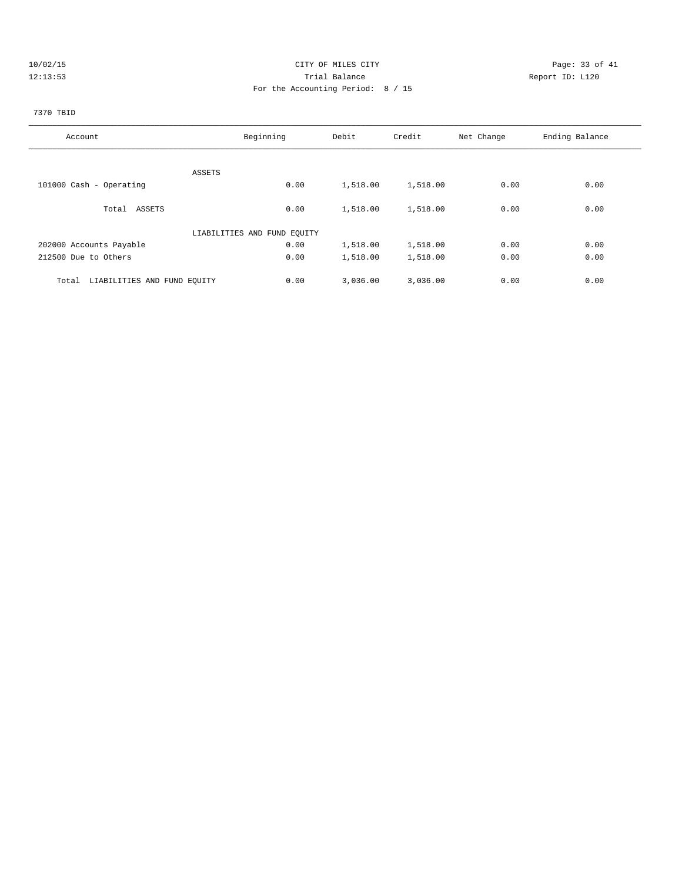# 10/02/15 Page: 33 of 41 12:13:53 Trial Balance Report ID: L120 For the Accounting Period: 8 / 15

# 7370 TBID

| Account                              | Beginning                   | Debit    | Credit   | Net Change | Ending Balance |
|--------------------------------------|-----------------------------|----------|----------|------------|----------------|
|                                      |                             |          |          |            |                |
| ASSETS                               |                             |          |          |            |                |
| 101000 Cash - Operating              | 0.00                        | 1,518.00 | 1,518.00 | 0.00       | 0.00           |
|                                      |                             |          |          |            |                |
| Total ASSETS                         | 0.00                        | 1,518.00 | 1,518.00 | 0.00       | 0.00           |
|                                      | LIABILITIES AND FUND EQUITY |          |          |            |                |
| 202000 Accounts Payable              | 0.00                        | 1,518.00 | 1,518.00 | 0.00       | 0.00           |
| 212500 Due to Others                 | 0.00                        | 1,518.00 | 1,518.00 | 0.00       | 0.00           |
| LIABILITIES AND FUND EQUITY<br>Total | 0.00                        | 3,036.00 | 3,036.00 | 0.00       | 0.00           |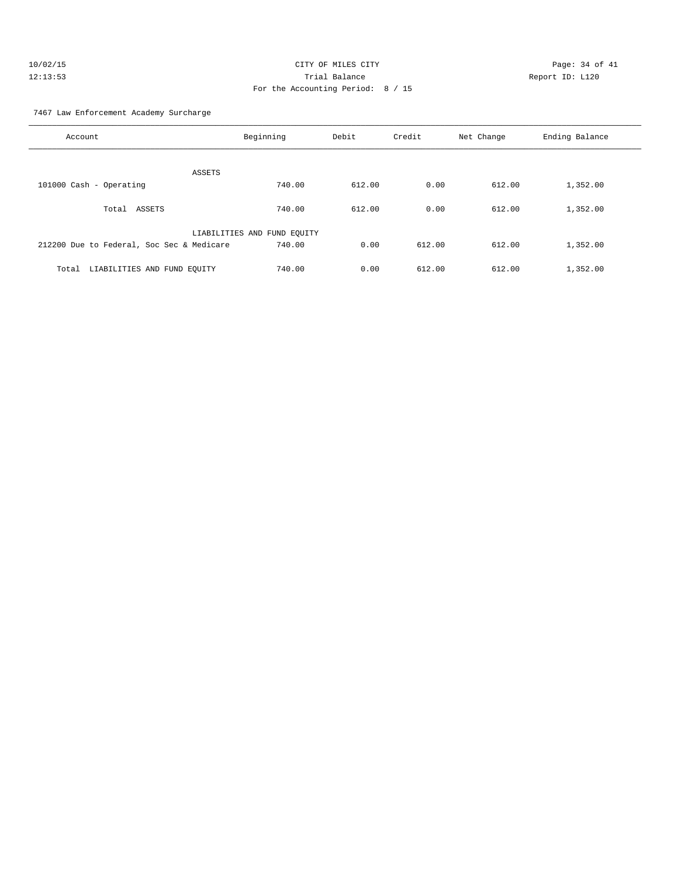| 10/02/15 | CITY OF MILES CITY                | Page: $34o$     |
|----------|-----------------------------------|-----------------|
| 12:13:53 | Trial Balance                     | Report ID: L120 |
|          | For the Accounting Period: 8 / 15 |                 |

Page: 34 of 41

### 7467 Law Enforcement Academy Surcharge

| Account                                   | Beginning                   | Debit  | Credit | Net Change | Ending Balance |
|-------------------------------------------|-----------------------------|--------|--------|------------|----------------|
| ASSETS                                    |                             |        |        |            |                |
| 101000 Cash - Operating                   | 740.00                      | 612.00 | 0.00   | 612.00     | 1,352.00       |
| Total ASSETS                              | 740.00                      | 612.00 | 0.00   | 612.00     | 1,352.00       |
|                                           | LIABILITIES AND FUND EQUITY |        |        |            |                |
| 212200 Due to Federal, Soc Sec & Medicare | 740.00                      | 0.00   | 612.00 | 612.00     | 1,352.00       |
| LIABILITIES AND FUND EQUITY<br>Total      | 740.00                      | 0.00   | 612.00 | 612.00     | 1,352.00       |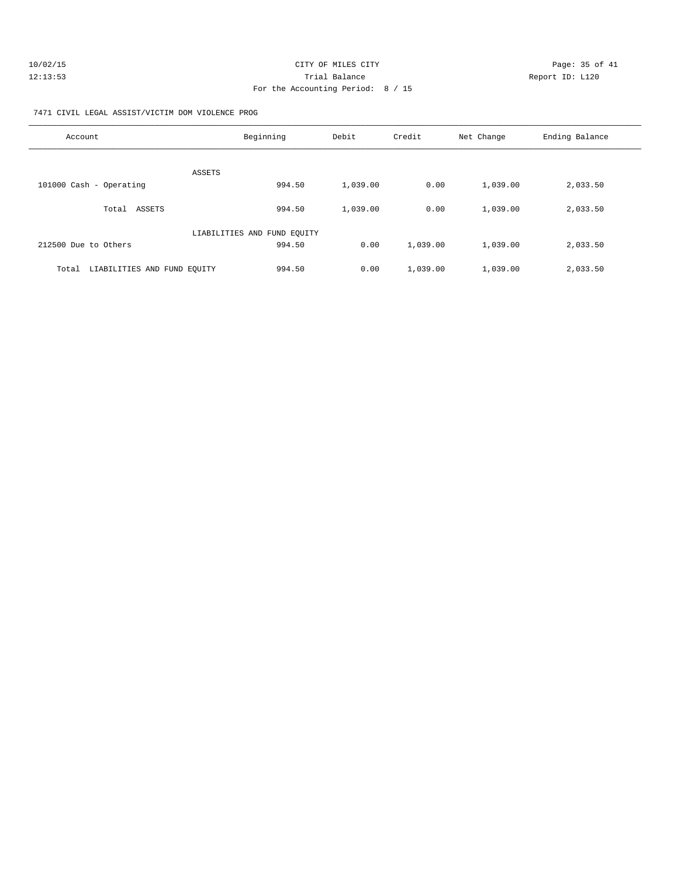| 10/02/15 | CITY OF MILES CITY                | Page: 35 of 41  |
|----------|-----------------------------------|-----------------|
| 12:13:53 | Trial Balance                     | Report ID: L120 |
|          | For the Accounting Period: 8 / 15 |                 |

7471 CIVIL LEGAL ASSIST/VICTIM DOM VIOLENCE PROG

| Account                              | Beginning                   | Debit    | Credit   | Net Change | Ending Balance |
|--------------------------------------|-----------------------------|----------|----------|------------|----------------|
| ASSETS                               |                             |          |          |            |                |
| 101000 Cash - Operating              | 994.50                      | 1,039.00 | 0.00     | 1,039.00   | 2,033.50       |
| ASSETS<br>Total                      | 994.50                      | 1,039.00 | 0.00     | 1,039.00   | 2,033.50       |
|                                      | LIABILITIES AND FUND EQUITY |          |          |            |                |
| 212500 Due to Others                 | 994.50                      | 0.00     | 1,039.00 | 1,039.00   | 2,033.50       |
| LIABILITIES AND FUND EQUITY<br>Total | 994.50                      | 0.00     | 1,039.00 | 1,039.00   | 2,033.50       |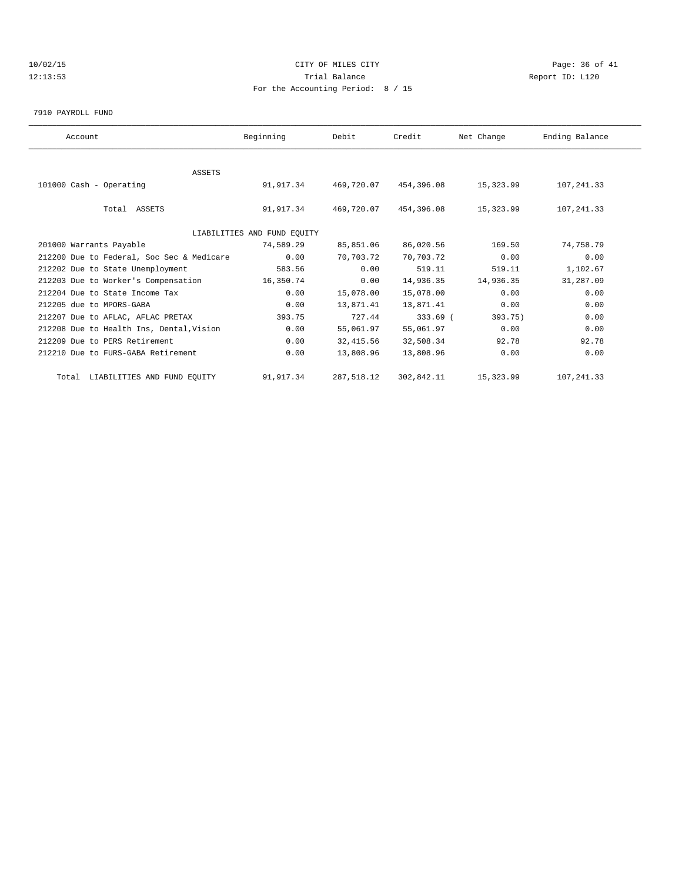# 10/02/15 **CITY OF MILES CITY CITY CITY Page: 36 of 41** 12:13:53 Trial Balance Report ID: L120 For the Accounting Period: 8 / 15

#### 7910 PAYROLL FUND

| Account                                   | Beginning                   | Debit      | Credit     | Net Change | Ending Balance |  |
|-------------------------------------------|-----------------------------|------------|------------|------------|----------------|--|
|                                           |                             |            |            |            |                |  |
| <b>ASSETS</b>                             |                             |            |            |            |                |  |
| 101000 Cash - Operating                   | 91,917.34                   | 469,720.07 | 454,396.08 | 15,323.99  | 107,241.33     |  |
|                                           |                             |            |            |            |                |  |
| Total ASSETS                              | 91,917.34                   | 469,720.07 | 454,396.08 | 15,323.99  | 107, 241.33    |  |
|                                           |                             |            |            |            |                |  |
|                                           | LIABILITIES AND FUND EQUITY |            |            |            |                |  |
| 201000 Warrants Payable                   | 74,589.29                   | 85,851.06  | 86,020.56  | 169.50     | 74,758.79      |  |
| 212200 Due to Federal, Soc Sec & Medicare | 0.00                        | 70,703.72  | 70,703.72  | 0.00       | 0.00           |  |
| 212202 Due to State Unemployment          | 583.56                      | 0.00       | 519.11     | 519.11     | 1,102.67       |  |
| 212203 Due to Worker's Compensation       | 16,350.74                   | 0.00       | 14,936.35  | 14,936.35  | 31,287.09      |  |
| 212204 Due to State Income Tax            | 0.00                        | 15,078.00  | 15,078.00  | 0.00       | 0.00           |  |
| 212205 due to MPORS-GABA                  | 0.00                        | 13,871.41  | 13,871.41  | 0.00       | 0.00           |  |
| 212207 Due to AFLAC, AFLAC PRETAX         | 393.75                      | 727.44     | 333.69 (   | 393.75)    | 0.00           |  |
| 212208 Due to Health Ins, Dental, Vision  | 0.00                        | 55,061.97  | 55,061.97  | 0.00       | 0.00           |  |
| 212209 Due to PERS Retirement             | 0.00                        | 32,415.56  | 32,508.34  | 92.78      | 92.78          |  |
| 212210 Due to FURS-GABA Retirement        | 0.00                        | 13,808.96  | 13,808.96  | 0.00       | 0.00           |  |
| Total LIABILITIES AND FUND EQUITY         | 91,917.34                   | 287,518.12 | 302,842.11 | 15,323.99  | 107, 241.33    |  |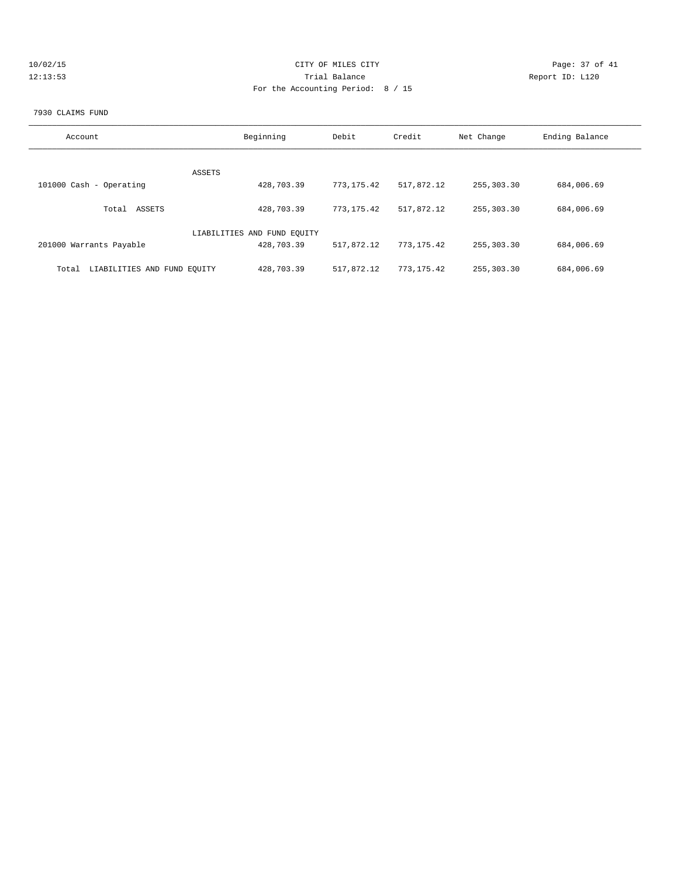| Page: 37 of 41  |
|-----------------|
| Report ID: L120 |
|                 |
|                 |

#### 7930 CLAIMS FUND

| Account                              | Beginning                   | Debit        | Credit     | Net Change | Ending Balance |
|--------------------------------------|-----------------------------|--------------|------------|------------|----------------|
| ASSETS                               |                             |              |            |            |                |
| 101000 Cash - Operating              | 428,703.39                  | 773, 175, 42 | 517,872.12 | 255,303.30 | 684,006.69     |
| ASSETS<br>Total                      | 428,703.39                  | 773,175.42   | 517,872.12 | 255,303.30 | 684,006.69     |
|                                      | LIABILITIES AND FUND EQUITY |              |            |            |                |
| 201000 Warrants Payable              | 428,703.39                  | 517,872.12   | 773,175.42 | 255,303.30 | 684,006.69     |
| LIABILITIES AND FUND EQUITY<br>Total | 428,703.39                  | 517,872.12   | 773,175.42 | 255,303.30 | 684,006.69     |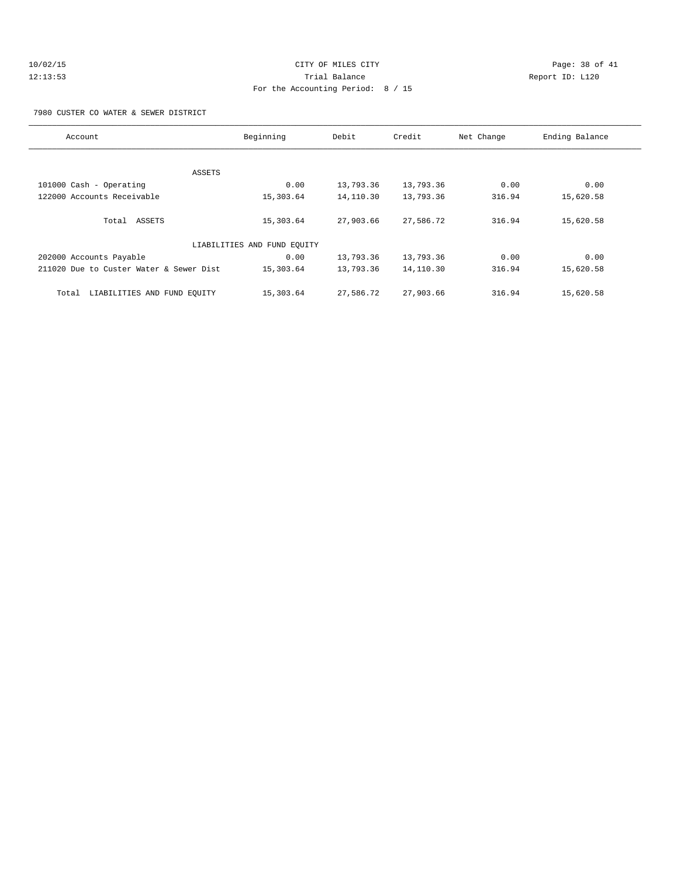#### 7980 CUSTER CO WATER & SEWER DISTRICT

| Account                                 | Beginning                   | Debit     | Credit    | Net Change | Ending Balance |
|-----------------------------------------|-----------------------------|-----------|-----------|------------|----------------|
|                                         |                             |           |           |            |                |
| ASSETS                                  |                             |           |           |            |                |
| 101000 Cash - Operating                 | 0.00                        | 13,793.36 | 13,793.36 | 0.00       | 0.00           |
| 122000 Accounts Receivable              | 15,303.64                   | 14,110.30 | 13,793.36 | 316.94     | 15,620.58      |
|                                         |                             |           |           |            |                |
| Total ASSETS                            | 15,303.64                   | 27,903.66 | 27,586.72 | 316.94     | 15,620.58      |
|                                         | LIABILITIES AND FUND EQUITY |           |           |            |                |
| 202000 Accounts Payable                 | 0.00                        | 13,793.36 | 13,793.36 | 0.00       | 0.00           |
| 211020 Due to Custer Water & Sewer Dist | 15,303.64                   | 13,793.36 | 14,110.30 | 316.94     | 15,620.58      |
|                                         |                             |           |           |            |                |
| LIABILITIES AND FUND EQUITY<br>Total    | 15,303.64                   | 27,586.72 | 27,903.66 | 316.94     | 15,620.58      |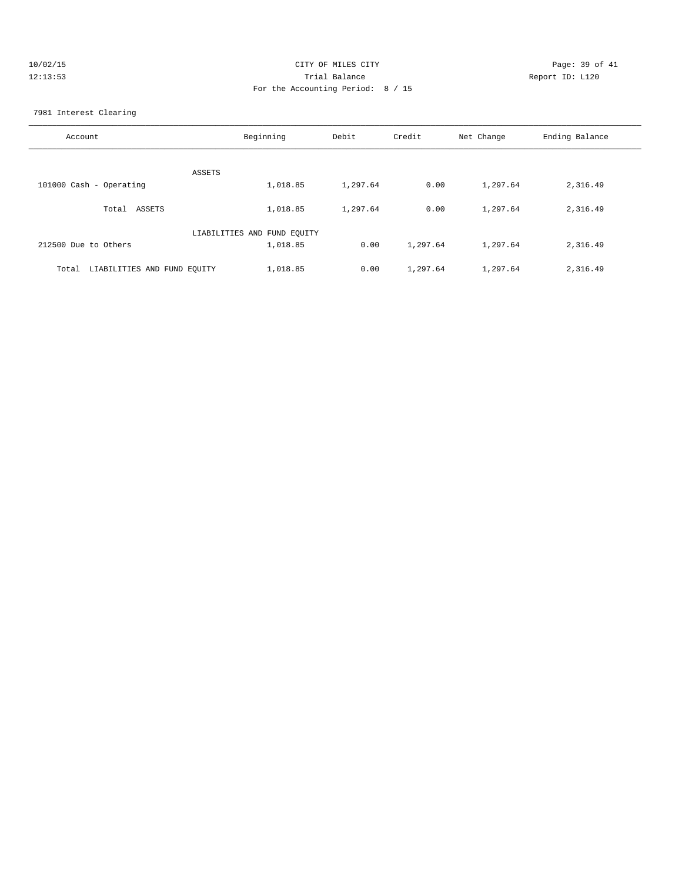| 10/02/15 | CITY OF MILES CITY                | Page: 39 of 41  |
|----------|-----------------------------------|-----------------|
| 12:13:53 | Trial Balance                     | Report ID: L120 |
|          | For the Accounting Period: 8 / 15 |                 |

7981 Interest Clearing

| Account                              | Beginning                   | Debit    | Credit   | Net Change | Ending Balance |
|--------------------------------------|-----------------------------|----------|----------|------------|----------------|
| ASSETS                               |                             |          |          |            |                |
| 101000 Cash - Operating              | 1,018.85                    | 1,297.64 | 0.00     | 1,297.64   | 2,316.49       |
| Total ASSETS                         | 1,018.85                    | 1,297.64 | 0.00     | 1,297.64   | 2,316.49       |
|                                      | LIABILITIES AND FUND EQUITY |          |          |            |                |
| 212500 Due to Others                 | 1,018.85                    | 0.00     | 1,297.64 | 1,297.64   | 2,316.49       |
| LIABILITIES AND FUND EQUITY<br>Total | 1,018.85                    | 0.00     | 1,297.64 | 1,297.64   | 2,316.49       |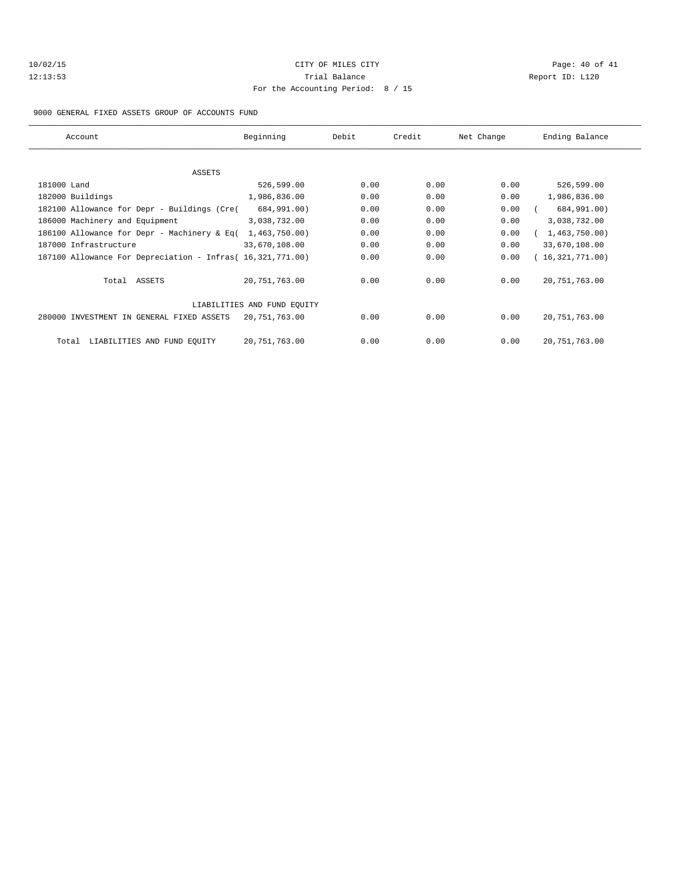| 10/02/15 |  |
|----------|--|
| 12:13:53 |  |

# CITY OF MILES CITY **CITY** Page: 40 of 41 120 Trial Balance Communications of the Report ID: L120 For the Accounting Period: 8 / 15

#### 9000 GENERAL FIXED ASSETS GROUP OF ACCOUNTS FUND

| Account                                                    | Beginning                   | Debit | Credit | Net Change | Ending Balance    |
|------------------------------------------------------------|-----------------------------|-------|--------|------------|-------------------|
| ASSETS                                                     |                             |       |        |            |                   |
| 181000 Land                                                | 526,599.00                  | 0.00  | 0.00   | 0.00       | 526,599.00        |
|                                                            | 1,986,836.00                | 0.00  | 0.00   | 0.00       |                   |
| 182000 Buildings                                           |                             |       |        |            | 1,986,836.00      |
| 182100 Allowance for Depr - Buildings (Cre(                | 684,991.00)                 | 0.00  | 0.00   | 0.00       | 684,991.00)       |
| 186000 Machinery and Equipment                             | 3,038,732.00                | 0.00  | 0.00   | 0.00       | 3,038,732.00      |
| 186100 Allowance for Depr - Machinery & Eq(                | 1,463,750.00                | 0.00  | 0.00   | 0.00       | (1, 463, 750.00)  |
| 187000 Infrastructure                                      | 33,670,108.00               | 0.00  | 0.00   | 0.00       | 33,670,108.00     |
| 187100 Allowance For Depreciation - Infras (16,321,771.00) |                             | 0.00  | 0.00   | 0.00       | (16, 321, 771.00) |
| Total ASSETS                                               | 20, 751, 763.00             | 0.00  | 0.00   | 0.00       | 20,751,763.00     |
|                                                            | LIABILITIES AND FUND EQUITY |       |        |            |                   |
| 280000 INVESTMENT IN GENERAL FIXED ASSETS                  | 20,751,763.00               | 0.00  | 0.00   | 0.00       | 20,751,763.00     |
| LIABILITIES AND FUND EQUITY<br>Total                       | 20,751,763.00               | 0.00  | 0.00   | 0.00       | 20, 751, 763.00   |